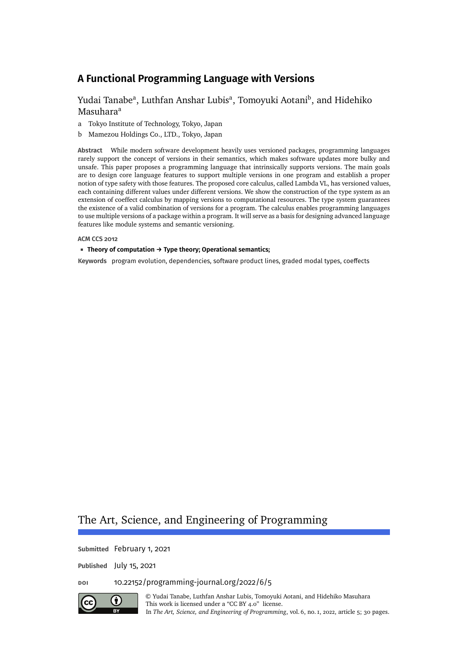# [Yudai Tanabe](#page-29-0)<sup>a</sup>, [Luthfan Anshar Lubis](#page-29-1)<sup>a</sup>, Tomovuki Aotani<sup>b</sup>, and [Hidehiko](#page-29-3) [Masuhara](#page-29-3)<sup>a</sup>

- a Tokyo Institute of Technology, Tokyo, Japan
- b Mamezou Holdings Co., LTD., Tokyo, Japan

**Abstract** While modern software development heavily uses versioned packages, programming languages rarely support the concept of versions in their semantics, which makes software updates more bulky and unsafe. This paper proposes a programming language that intrinsically supports versions. The main goals are to design core language features to support multiple versions in one program and establish a proper notion of type safety with those features. The proposed core calculus, called Lambda VL, has versioned values, each containing different values under different versions. We show the construction of the type system as an extension of coeffect calculus by mapping versions to computational resources. The type system guarantees the existence of a valid combination of versions for a program. The calculus enables programming languages to use multiple versions of a package within a program. It will serve as a basis for designing advanced language features like module systems and semantic versioning.

**ACM CCS 2012**

#### **Theory of computation → Type theory; Operational semantics;**

Keywords program evolution, dependencies, software product lines, graded modal types, coeffects

# The Art, Science, and Engineering of Programming

**Submitted** February 1, 2021

**Published** July 15, 2021

## **doi** [10.22152/programming-journal.org/2022/6/5](https://doi.org/10.22152/programming-journal.org/2022/6/5)



© [Yudai Tanabe,](#page-29-0) [Luthfan Anshar Lubis,](#page-29-1) [Tomoyuki Aotani,](#page-29-2) and [Hidehiko Masuhara](#page-29-3) This work is licensed under a ["CC BY 4.0"](https://creativecommons.org/licenses/by/4.0/deed.en) license. In *The Art, Science, and Engineering of Programming*, vol. 6, no. 1, 2022, article 5; [30](#page-29-4) pages.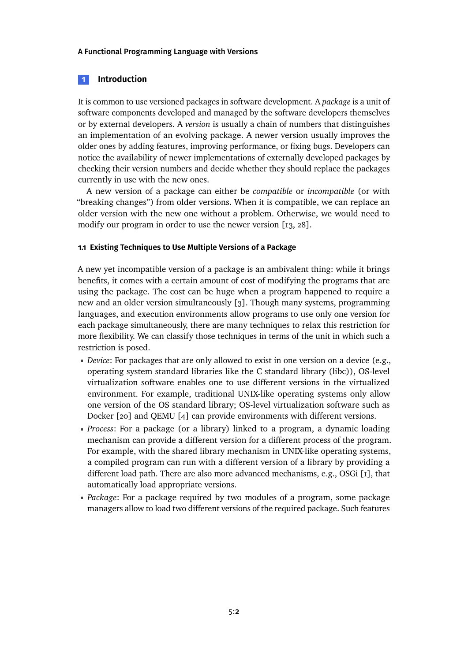# **1 Introduction**

It is common to use versioned packages in software development. A *package* is a unit of software components developed and managed by the software developers themselves or by external developers. A *version* is usually a chain of numbers that distinguishes an implementation of an evolving package. A newer version usually improves the older ones by adding features, improving performance, or fixing bugs. Developers can notice the availability of newer implementations of externally developed packages by checking their version numbers and decide whether they should replace the packages currently in use with the new ones.

A new version of a package can either be *compatible* or *incompatible* (or with "breaking changes") from older versions. When it is compatible, we can replace an older version with the new one without a problem. Otherwise, we would need to modify our program in order to use the newer version [\[13,](#page-23-0) [28\]](#page-25-0).

# **1.1 Existing Techniques to Use Multiple Versions of a Package**

A new yet incompatible version of a package is an ambivalent thing: while it brings benefits, it comes with a certain amount of cost of modifying the programs that are using the package. The cost can be huge when a program happened to require a new and an older version simultaneously [\[3\]](#page-22-0). Though many systems, programming languages, and execution environments allow programs to use only one version for each package simultaneously, there are many techniques to relax this restriction for more flexibility. We can classify those techniques in terms of the unit in which such a restriction is posed.

- *Device*: For packages that are only allowed to exist in one version on a device (e.g., operating system standard libraries like the C standard library (libc)), OS-level virtualization software enables one to use different versions in the virtualized environment. For example, traditional UNIX-like operating systems only allow one version of the OS standard library; OS-level virtualization software such as Docker [\[20\]](#page-24-0) and QEMU [\[4\]](#page-22-1) can provide environments with different versions.
- *Process*: For a package (or a library) linked to a program, a dynamic loading mechanism can provide a different version for a different process of the program. For example, with the shared library mechanism in UNIX-like operating systems, a compiled program can run with a different version of a library by providing a different load path. There are also more advanced mechanisms, e.g., OSGi [\[1\]](#page-22-2), that automatically load appropriate versions.
- *Package*: For a package required by two modules of a program, some package managers allow to load two different versions of the required package. Such features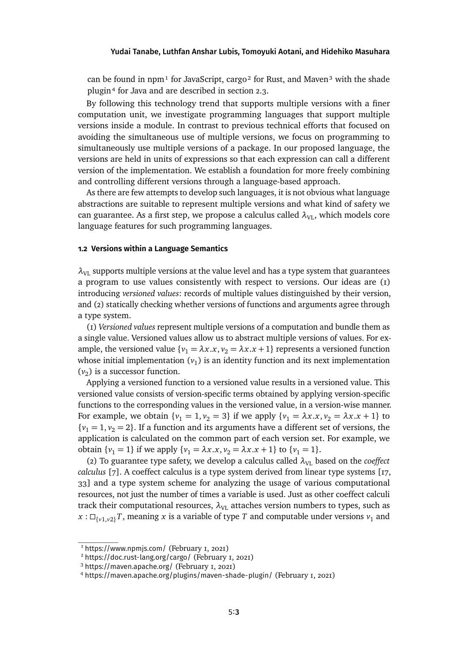can be found in npm<sup>[1](#page-2-0)</sup> for JavaScript, cargo<sup>2</sup> for Rust, and Maven<sup>3</sup> with the shade plugi[n⁴](#page-2-3) for Java and are described in section [2.3.](#page-5-0)

By following this technology trend that supports multiple versions with a finer computation unit, we investigate programming languages that support multiple versions inside a module. In contrast to previous technical efforts that focused on avoiding the simultaneous use of multiple versions, we focus on programming to simultaneously use multiple versions of a package. In our proposed language, the versions are held in units of expressions so that each expression can call a different version of the implementation. We establish a foundation for more freely combining and controlling different versions through a language-based approach.

As there are few attempts to develop such languages, it is not obvious what language abstractions are suitable to represent multiple versions and what kind of safety we can guarantee. As a first step, we propose a calculus called  $λ_{VI}$ , which models core language features for such programming languages.

# **1.2 Versions within a Language Semantics**

 $\lambda_{\text{VL}}$  supports multiple versions at the value level and has a type system that guarantees a program to use values consistently with respect to versions. Our ideas are (1) introducing *versioned values*: records of multiple values distinguished by their version, and (2) statically checking whether versions of functions and arguments agree through a type system.

(1) *Versioned values* represent multiple versions of a computation and bundle them as a single value. Versioned values allow us to abstract multiple versions of values. For example, the versioned value  $\{v_1 = \lambda x.x, v_2 = \lambda x.x + 1\}$  represents a versioned function whose initial implementation  $(v_1)$  is an identity function and its next implementation  $(v_2)$  is a successor function.

Applying a versioned function to a versioned value results in a versioned value. This versioned value consists of version-specific terms obtained by applying version-specific functions to the corresponding values in the versioned value, in a version-wise manner. For example, we obtain  $\{v_1 = 1, v_2 = 3\}$  if we apply  $\{v_1 = \lambda x.x, v_2 = \lambda x.x + 1\}$  to  ${v_1 = 1, v_2 = 2}$ . If a function and its arguments have a different set of versions, the application is calculated on the common part of each version set. For example, we obtain  $\{v_1 = 1\}$  if we apply  $\{v_1 = \lambda x.x, v_2 = \lambda x.x + 1\}$  to  $\{v_1 = 1\}$ .

(2) To guarantee type safety, we develop a calculus called  $\lambda_{VI}$  based on the *coeffect calculus* [\[7\]](#page-23-1). A coeffect calculus is a type system derived from linear type systems [\[17,](#page-24-1) [33\]](#page-25-1) and a type system scheme for analyzing the usage of various computational resources, not just the number of times a variable is used. Just as other coeffect calculi track their computational resources,  $\lambda_{\text{VL}}$  attaches version numbers to types, such as  $x: \Box_{\{v_1,v_2\}}T$ , meaning x is a variable of type T and computable under versions  $v_1$  and

<span id="page-2-0"></span><sup>1</sup> <https://www.npmjs.com/> (February 1, 2021)

<span id="page-2-1"></span><sup>2</sup> <https://doc.rust-lang.org/cargo/> (February 1, 2021)

<span id="page-2-2"></span><sup>3</sup> <https://maven.apache.org/> (February 1, 2021)

<span id="page-2-3"></span><sup>4</sup> <https://maven.apache.org/plugins/maven-shade-plugin/> (February 1, 2021)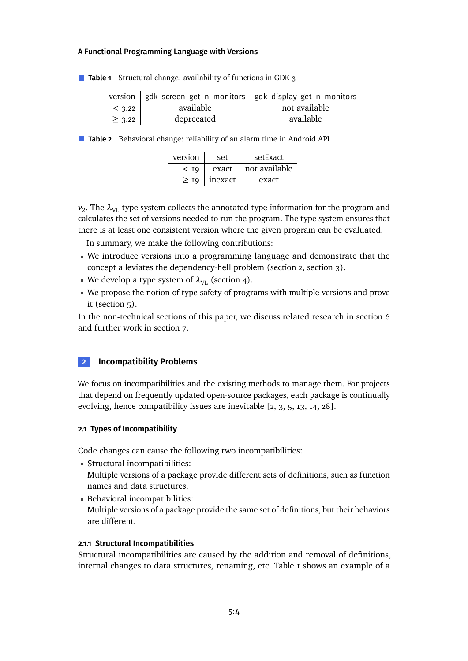<span id="page-3-1"></span>■ **Table 1** Structural change: availability of functions in GDK 3

|             |            | version   gdk_screen_get_n_monitors gdk_display_get_n_monitors |
|-------------|------------|----------------------------------------------------------------|
| $<$ 3.22    | available  | not available                                                  |
| $\geq$ 3.22 | deprecated | available                                                      |

■ **Table 2** Behavioral change: reliability of an alarm time in Android API

| version | set                 | setFxact      |
|---------|---------------------|---------------|
| < 19    | exact               | not available |
|         | $\geq$ 19   inexact | exact         |

 $v_2$ . The  $\lambda_{\text{VL}}$  type system collects the annotated type information for the program and calculates the set of versions needed to run the program. The type system ensures that there is at least one consistent version where the given program can be evaluated.

In summary, we make the following contributions:

- We introduce versions into a programming language and demonstrate that the concept alleviates the dependency-hell problem (section [2,](#page-3-0) section [3\)](#page-8-0).
- We develop a type system of  $\lambda_{\text{VL}}$  (section [4\)](#page-12-0).
- We propose the notion of type safety of programs with multiple versions and prove it (section [5\)](#page-16-0).

In the non-technical sections of this paper, we discuss related research in section [6](#page-19-0) and further work in section [7.](#page-21-0)

# <span id="page-3-0"></span>**2 Incompatibility Problems**

We focus on incompatibilities and the existing methods to manage them. For projects that depend on frequently updated open-source packages, each package is continually evolving, hence compatibility issues are inevitable [\[2,](#page-22-3) [3,](#page-22-0) [5,](#page-22-4) [13,](#page-23-0) [14,](#page-23-2) [28\]](#page-25-0).

## **2.1 Types of Incompatibility**

Code changes can cause the following two incompatibilities:

- Structural incompatibilities: Multiple versions of a package provide different sets of definitions, such as function names and data structures.
- Behavioral incompatibilities: Multiple versions of a package provide the same set of definitions, but their behaviors are different.

## **2.1.1 Structural Incompatibilities**

Structural incompatibilities are caused by the addition and removal of definitions, internal changes to data structures, renaming, etc. Table 1 shows an example of a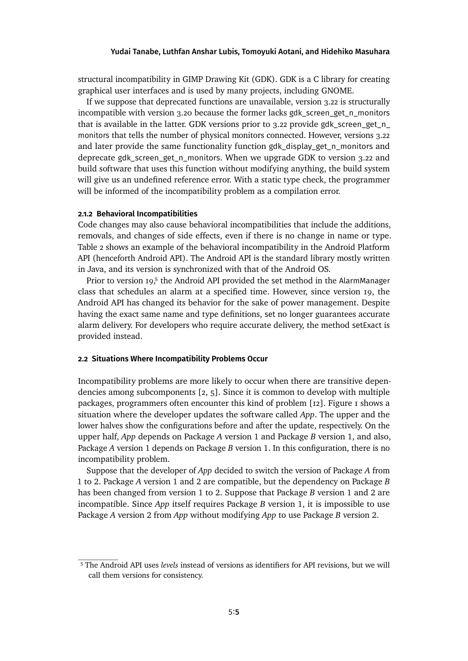structural incompatibility in GIMP Drawing Kit (GDK). GDK is a C library for creating graphical user interfaces and is used by many projects, including GNOME.

If we suppose that deprecated functions are unavailable, version 3.22 is structurally incompatible with version 3.20 because the former lacks gdk\_screen\_get\_n\_monitors that is available in the latter. GDK versions prior to 3.22 provide gdk\_screen\_get\_n\_ monitors that tells the number of physical monitors connected. However, versions 3.22 and later provide the same functionality function gdk\_display\_get\_n\_monitors and deprecate gdk\_screen\_get\_n\_monitors. When we upgrade GDK to version 3.22 and build software that uses this function without modifying anything, the build system will give us an undefined reference error. With a static type check, the programmer will be informed of the incompatibility problem as a compilation error.

### **2.1.2 Behavioral Incompatibilities**

Code changes may also cause behavioral incompatibilities that include the additions, removals, and changes of side effects, even if there is no change in name or type. Table 2 shows an example of the behavioral incompatibility in the Android Platform API (henceforth Android API). The Android API is the standard library mostly written in Java, and its version is synchronized with that of the Android OS.

Prior to version 19,<sup>5</sup> the Android API provided the set method in the AlarmManager class that schedules an alarm at a specified time. However, since version 19, the Android API has changed its behavior for the sake of power management. Despite having the exact same name and type definitions, set no longer guarantees accurate alarm delivery. For developers who require accurate delivery, the method setExact is provided instead.

### **2.2 Situations Where Incompatibility Problems Occur**

Incompatibility problems are more likely to occur when there are transitive dependencies among subcomponents [\[2,](#page-22-3) [5\]](#page-22-4). Since it is common to develop with multiple packages, programmers often encounter this kind of problem [\[12\]](#page-23-3). Figure [1](#page-5-1) shows a situation where the developer updates the software called *App*. The upper and the lower halves show the configurations before and after the update, respectively. On the upper half, *App* depends on Package *A* version 1 and Package *B* version 1, and also, Package *A* version 1 depends on Package *B* version 1. In this configuration, there is no incompatibility problem.

Suppose that the developer of *App* decided to switch the version of Package *A* from 1 to 2. Package *A* version 1 and 2 are compatible, but the dependency on Package *B* has been changed from version 1 to 2. Suppose that Package *B* version 1 and 2 are incompatible. Since *App* itself requires Package *B* version 1, it is impossible to use Package *A* version 2 from *App* without modifying *App* to use Package *B* version 2.

<span id="page-4-0"></span><sup>5</sup> The Android API uses *levels* instead of versions as identifiers for API revisions, but we will call them versions for consistency.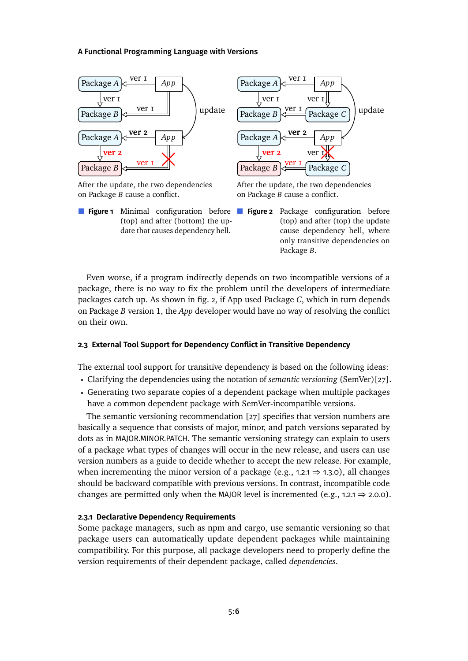<span id="page-5-1"></span>

After the update, the two dependencies on Package *B* cause a conflict.

**Figure 1** Minimal configuration before (top) and after (bottom) the update that causes dependency hell.

After the update, the two dependencies on Package *B* cause a conflict.

**Figure 2** Package configuration before (top) and after (top) the update cause dependency hell, where only transitive dependencies on Package *B*.

Even worse, if a program indirectly depends on two incompatible versions of a package, there is no way to fix the problem until the developers of intermediate packages catch up. As shown in fig. [2,](#page-5-1) if App used Package *C*, which in turn depends on Package *B* version 1, the *App* developer would have no way of resolving the conflict on their own.

## <span id="page-5-0"></span>**2.3 External Tool Support for Dependency Conflict in Transitive Dependency**

The external tool support for transitive dependency is based on the following ideas:

- Clarifying the dependencies using the notation of *semantic versioning* (SemVer)[\[27\]](#page-25-2).
- Generating two separate copies of a dependent package when multiple packages have a common dependent package with SemVer-incompatible versions.

The semantic versioning recommendation [\[27\]](#page-25-2) specifies that version numbers are basically a sequence that consists of major, minor, and patch versions separated by dots as in MAJOR.MINOR.PATCH. The semantic versioning strategy can explain to users of a package what types of changes will occur in the new release, and users can use version numbers as a guide to decide whether to accept the new release. For example, when incrementing the minor version of a package (e.g.,  $1.2.1 \Rightarrow 1.3.0$ ), all changes should be backward compatible with previous versions. In contrast, incompatible code changes are permitted only when the MAJOR level is incremented (e.g.,  $1.2.1 \Rightarrow 2.0.0$ ).

## **2.3.1 Declarative Dependency Requirements**

Some package managers, such as npm and cargo, use semantic versioning so that package users can automatically update dependent packages while maintaining compatibility. For this purpose, all package developers need to properly define the version requirements of their dependent package, called *dependencies*.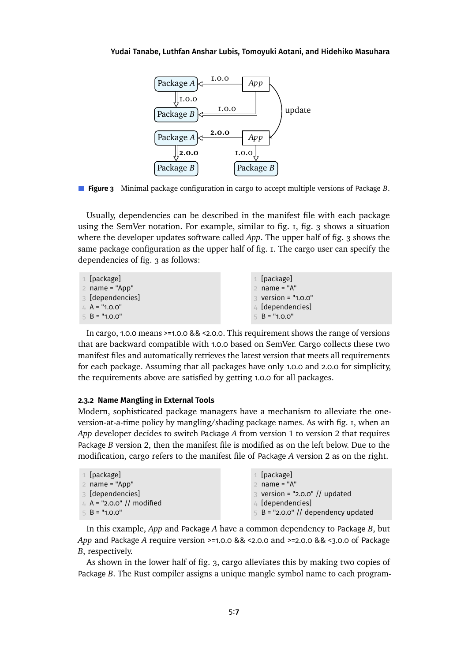<span id="page-6-0"></span>



Usually, dependencies can be described in the manifest file with each package using the SemVer notation. For example, similar to fig. [1,](#page-5-1) fig. [3](#page-6-0) shows a situation where the developer updates software called *App*. The upper half of fig. [3](#page-6-0) shows the same package configuration as the upper half of fig. [1.](#page-5-1) The cargo user can specify the dependencies of fig. [3](#page-6-0) as follows:

| $\perp$ [package]   | $1$ [package]                   |
|---------------------|---------------------------------|
| $2$ name = "App"    | $2$ name = "A"                  |
| 3 [dependencies]    | $\frac{1}{2}$ version = "1.0.0" |
| $\perp$ A = "1.0.0" | $4$ [dependencies]              |
| $5 B = "1.0.0"$     | $5 B = "1.0.0"$                 |

In cargo, 1.0.0 means >=1.0.0 && <2.0.0. This requirement shows the range of versions that are backward compatible with 1.0.0 based on SemVer. Cargo collects these two manifest files and automatically retrieves the latest version that meets all requirements for each package. Assuming that all packages have only 1.0.0 and 2.0.0 for simplicity, the requirements above are satisfied by getting 1.0.0 for all packages.

## **2.3.2 Name Mangling in External Tools**

Modern, sophisticated package managers have a mechanism to alleviate the oneversion-at-a-time policy by mangling/shading package names. As with fig. [1,](#page-5-1) when an *App* developer decides to switch Package *A* from version 1 to version 2 that requires Package *B* version 2, then the manifest file is modified as on the left below. Due to the modification, cargo refers to the manifest file of Package *A* version 2 as on the right.

| $1$ [package]             | $1$ [package]                              |
|---------------------------|--------------------------------------------|
| $2$ name = "App"          | $2$ name = " $A$ "                         |
| 3 [dependencies]          | $\frac{3}{3}$ version = "2.0.0" // updated |
| 4 A = "2.0.0" // modified | $4$ [dependencies]                         |
| $5 B = "1.0.0"$           | $5$ B = "2.0.0" // dependency updated      |
|                           |                                            |

In this example, *App* and Package *A* have a common dependency to Package *B*, but *App* and Package *A* require version >=1.0.0 && <2.0.0 and >=2.0.0 && <3.0.0 of Package *B*, respectively.

As shown in the lower half of fig. [3,](#page-6-0) cargo alleviates this by making two copies of Package *B*. The Rust compiler assigns a unique mangle symbol name to each program-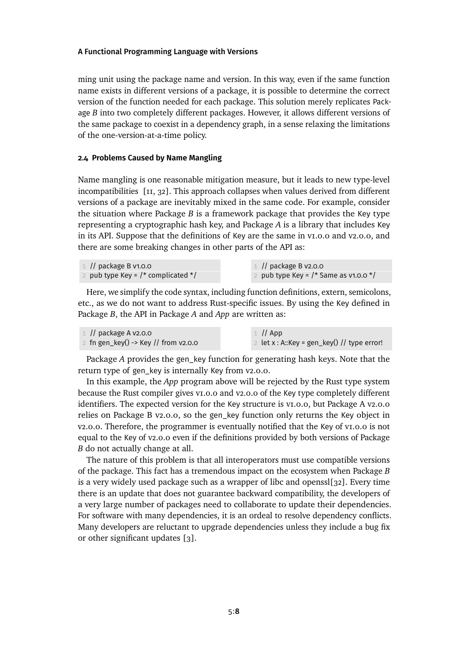ming unit using the package name and version. In this way, even if the same function name exists in different versions of a package, it is possible to determine the correct version of the function needed for each package. This solution merely replicates Package *B* into two completely different packages. However, it allows different versions of the same package to coexist in a dependency graph, in a sense relaxing the limitations of the one-version-at-a-time policy.

# <span id="page-7-0"></span>**2.4 Problems Caused by Name Mangling**

Name mangling is one reasonable mitigation measure, but it leads to new type-level incompatibilities [\[11,](#page-23-4) [32\]](#page-25-3). This approach collapses when values derived from different versions of a package are inevitably mixed in the same code. For example, consider the situation where Package *B* is a framework package that provides the Key type representing a cryptographic hash key, and Package *A* is a library that includes Key in its API. Suppose that the definitions of Key are the same in v1.0.0 and v2.0.0, and there are some breaking changes in other parts of the API as:

| $\perp$ // package B v1.0.0          | $\perp$ // package B v2.0.0             |
|--------------------------------------|-----------------------------------------|
| pub type Key = $/*$ complicated $*/$ | pub type Key = $/*$ Same as v1.0.0 $*/$ |

Here, we simplify the code syntax, including function definitions, extern, semicolons, etc., as we do not want to address Rust-specific issues. By using the Key defined in Package *B*, the API in Package *A* and *App* are written as:

| $\perp$ // package A v2.0.0          | $\perp$ // App                                 |
|--------------------------------------|------------------------------------------------|
| 2 fn gen_key() -> Key // from v2.0.0 | 2 let $x : A::Key = gen\_key()$ // type error! |

Package *A* provides the gen\_key function for generating hash keys. Note that the return type of gen\_key is internally Key from v2.0.0.

In this example, the *App* program above will be rejected by the Rust type system because the Rust compiler gives v1.0.0 and v2.0.0 of the Key type completely different identifiers. The expected version for the Key structure is v1.0.0, but Package A v2.0.0 relies on Package B v2.0.0, so the gen\_key function only returns the Key object in v2.0.0. Therefore, the programmer is eventually notified that the Key of v1.0.0 is not equal to the Key of v2.0.0 even if the definitions provided by both versions of Package *B* do not actually change at all.

The nature of this problem is that all interoperators must use compatible versions of the package. This fact has a tremendous impact on the ecosystem when Package *B* is a very widely used package such as a wrapper of libc and openssl[\[32\]](#page-25-3). Every time there is an update that does not guarantee backward compatibility, the developers of a very large number of packages need to collaborate to update their dependencies. For software with many dependencies, it is an ordeal to resolve dependency conflicts. Many developers are reluctant to upgrade dependencies unless they include a bug fix or other significant updates [\[3\]](#page-22-0).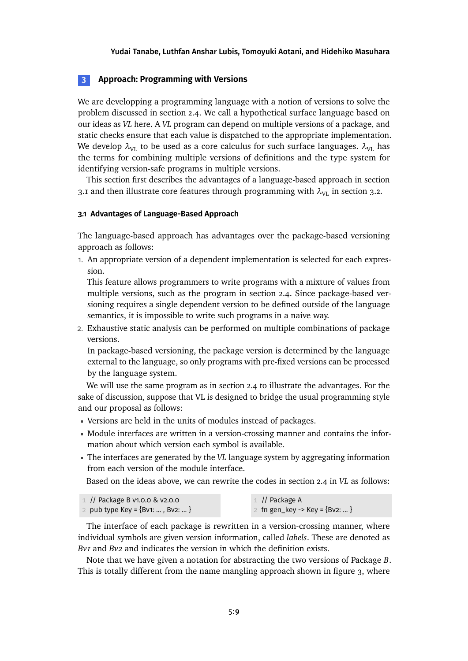# <span id="page-8-0"></span>**3 Approach: Programming with Versions**

We are developping a programming language with a notion of versions to solve the problem discussed in section [2.4.](#page-7-0) We call a hypothetical surface language based on our ideas as *VL* here. A *VL* program can depend on multiple versions of a package, and static checks ensure that each value is dispatched to the appropriate implementation. We develop  $\lambda_{\text{VL}}$  to be used as a core calculus for such surface languages.  $\lambda_{\text{VL}}$  has the terms for combining multiple versions of definitions and the type system for identifying version-safe programs in multiple versions.

This section first describes the advantages of a language-based approach in section [3.1](#page-8-1) and then illustrate core features through programming with  $\lambda_{VL}$  in section [3.2.](#page-9-0)

## <span id="page-8-1"></span>**3.1 Advantages of Language-Based Approach**

The language-based approach has advantages over the package-based versioning approach as follows:

1. An appropriate version of a dependent implementation is selected for each expression.

This feature allows programmers to write programs with a mixture of values from multiple versions, such as the program in section [2.4.](#page-7-0) Since package-based versioning requires a single dependent version to be defined outside of the language semantics, it is impossible to write such programs in a naive way.

2. Exhaustive static analysis can be performed on multiple combinations of package versions.

In package-based versioning, the package version is determined by the language external to the language, so only programs with pre-fixed versions can be processed by the language system.

We will use the same program as in section [2.4](#page-7-0) to illustrate the advantages. For the sake of discussion, suppose that VL is designed to bridge the usual programming style and our proposal as follows:

- Versions are held in the units of modules instead of packages.
- Module interfaces are written in a version-crossing manner and contains the information about which version each symbol is available.
- The interfaces are generated by the *VL* language system by aggregating information from each version of the module interface.

Based on the ideas above, we can rewrite the codes in section [2.4](#page-7-0) in *VL* as follows:

 // Package B v1.0.0 & v2.0.0 pub type Key = {Bv1: ... , Bv2: ... } // Package A fn gen\_key -> Key = {Bv2: ... }

The interface of each package is rewritten in a version-crossing manner, where individual symbols are given version information, called *labels*. These are denoted as *Bv1* and *Bv2* and indicates the version in which the definition exists.

Note that we have given a notation for abstracting the two versions of Package *B*. This is totally different from the name mangling approach shown in figure [3,](#page-6-0) where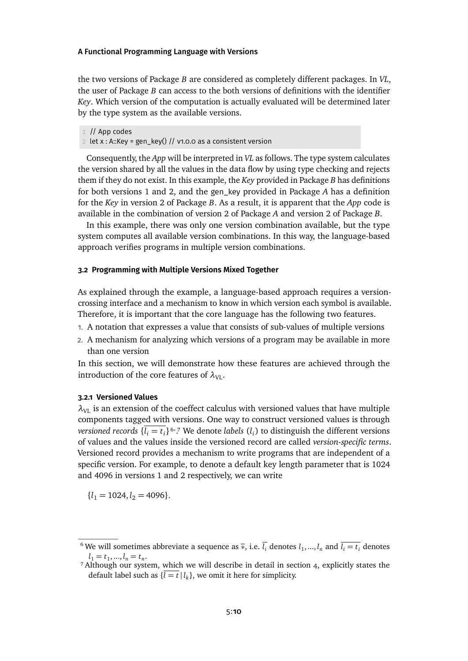the two versions of Package *B* are considered as completely different packages. In *VL*, the user of Package *B* can access to the both versions of definitions with the identifier *Key*. Which version of the computation is actually evaluated will be determined later by the type system as the available versions.

1 // App codes

2 let x : A::Key = gen\_key() // v1.0.0 as a consistent version

Consequently, the *App* will be interpreted in *VL* as follows. The type system calculates the version shared by all the values in the data flow by using type checking and rejects them if they do not exist. In this example, the *Key* provided in Package *B* has definitions for both versions 1 and 2, and the gen\_key provided in Package *A* has a definition for the *Key* in version 2 of Package *B*. As a result, it is apparent that the *App* code is available in the combination of version 2 of Package *A* and version 2 of Package *B*.

In this example, there was only one version combination available, but the type system computes all available version combinations. In this way, the language-based approach verifies programs in multiple version combinations.

## <span id="page-9-0"></span>**3.2 Programming with Multiple Versions Mixed Together**

As explained through the example, a language-based approach requires a versioncrossing interface and a mechanism to know in which version each symbol is available. Therefore, it is important that the core language has the following two features.

- 1. A notation that expresses a value that consists of sub-values of multiple versions
- 2. A mechanism for analyzing which versions of a program may be available in more than one version

In this section, we will demonstrate how these features are achieved through the introduction of the core features of  $\lambda_{\text{VL}}$ .

# **3.2.1 Versioned Values**

 $\lambda_{\text{VL}}$  is an extension of the coeffect calculus with versioned values that have multiple components tagged with versions. One way to construct versioned values is through *versioned records*  $\{\overline{l_i = t_i}\}$ <sup>6,7</sup> We denote *labels*  $(l_i)$  to distinguish the different versions of values and the values inside the versioned record are called *version-specific terms*. Versioned record provides a mechanism to write programs that are independent of a specific version. For example, to denote a default key length parameter that is 1024 and 4096 in versions 1 and 2 respectively, we can write

 ${l_1 = 1024, l_2 = 4096}.$ 

<span id="page-9-1"></span> $^6$  We will sometimes abbreviate a sequence as  $\bar{*}$ , i.e.  $\bar{l}_i$  denotes  $l_1,...,l_n$  and  $\bar{l}_i=t_i$  denotes  $l_1 = t_1, ..., l_n = t_n.$ 

<span id="page-9-2"></span><sup>&</sup>lt;sup>7</sup> Although our system, which we will describe in detail in section [4,](#page-12-0) explicitly states the default label such as  $\{\overline{l} = t \mid l_k\}$ , we omit it here for simplicity.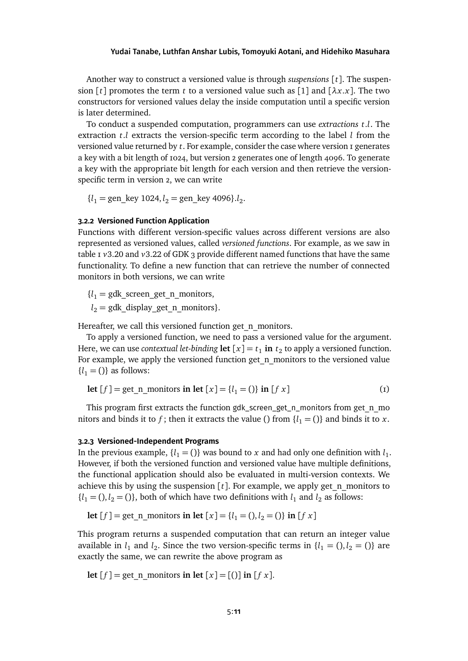Another way to construct a versioned value is through *suspensions* [*t*]. The suspension [*t*] promotes the term *t* to a versioned value such as [1] and  $[\lambda x.x]$ . The two constructors for versioned values delay the inside computation until a specific version is later determined.

To conduct a suspended computation, programmers can use *extractions t*.*l*. The extraction  $t.l$  extracts the version-specific term according to the label  $l$  from the versioned value returned by *t*. For example, consider the case where version 1 generates a key with a bit length of 1024, but version 2 generates one of length 4096. To generate a key with the appropriate bit length for each version and then retrieve the versionspecific term in version 2, we can write

 ${l_1 = \text{gen\_key 1024}, l_2 = \text{gen\_key 4096}. l_2.}$ 

## **3.2.2 Versioned Function Application**

Functions with different version-specific values across different versions are also represented as versioned values, called *versioned functions*. For example, as we saw in table [1](#page-3-1) *v*3.20 and *v*3.22 of GDK 3 provide different named functions that have the same functionality. To define a new function that can retrieve the number of connected monitors in both versions, we can write

 ${l_1 = gdk \text{ screen get n monitors,}}$ 

 $l_2$  = gdk\_display\_get\_n\_monitors}.

Hereafter, we call this versioned function get n monitors.

To apply a versioned function, we need to pass a versioned value for the argument. Here, we can use *contextual let-binding* **let**  $[x] = t_1$  **in**  $t_2$  to apply a versioned function. For example, we apply the versioned function get n monitors to the versioned value  ${l_1 = ()}$  as follows:

<span id="page-10-0"></span>
$$
\text{let } [f] = \text{get\_n\_monitors in let } [x] = \{l_1 = ()\} \text{ in } [f \ x] \tag{1}
$$

This program first extracts the function gdk\_screen\_get\_n\_monitors from get\_n\_mo nitors and binds it to *f*; then it extracts the value () from  $\{l_1 = 0\}$  and binds it to *x*.

## **3.2.3 Versioned-Independent Programs**

In the previous example,  $\{l_1 = 0\}$  was bound to *x* and had only one definition with  $l_1$ . However, if both the versioned function and versioned value have multiple definitions, the functional application should also be evaluated in multi-version contexts. We achieve this by using the suspension  $[t]$ . For example, we apply get n monitors to  ${l_1 = (), l_2 = ()}$ , both of which have two definitions with  $l_1$  and  $l_2$  as follows:

**let**  $[f] = \text{get}$  **n** monitors **in let**  $[x] = \{l_1 = 0, l_2 = 0\}$  **in**  $[f x]$ 

This program returns a suspended computation that can return an integer value available in  $l_1$  and  $l_2$ . Since the two version-specific terms in  $\{l_1 = (), l_2 = ()\}$  are exactly the same, we can rewrite the above program as

**let**  $[f] = \text{get}$  **n** monitors **in let**  $[x] = [(1) \text{ in } [f x]$ .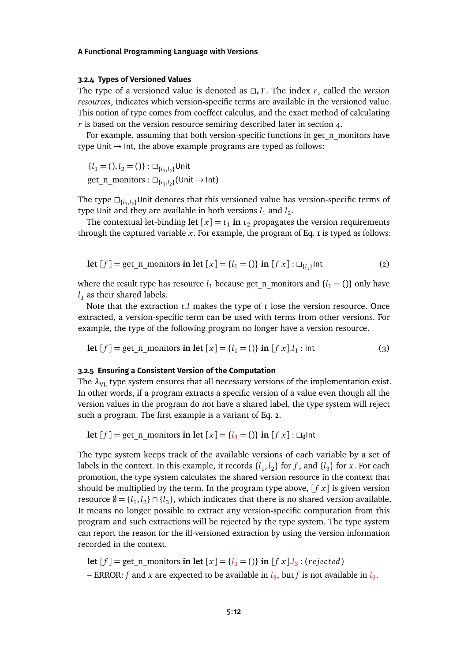### **3.2.4 Types of Versioned Values**

The type of a versioned value is denoted as  $\Box$ , *T*. The index *r*, called the *version resources*, indicates which version-specific terms are available in the versioned value. This notion of type comes from coeffect calculus, and the exact method of calculating *r* is based on the version resource semiring described later in section [4.](#page-12-0)

For example, assuming that both version-specific functions in get n monitors have type Unit  $\rightarrow$  Int, the above example programs are typed as follows:

 ${l_1 = (), l_2 = ()} : \square_{\{l_1, l_2\}}$ Unit  $get\_n\_monitors: \Box_{\{l_1, l_2\}}(Unit \rightarrow Int)$ 

The type  $\square_{\{l_1,l_2\}}$ Unit denotes that this versioned value has version-specific terms of type Unit and they are available in both versions  $l_1$  and  $l_2$ .

<span id="page-11-0"></span>The contextual let-binding let  $[x] = t_1$  in  $t_2$  propagates the version requirements through the captured variable  $x$ . For example, the program of Eq.  $\bar{z}$  is typed as follows:

$$
\text{let } [f] = \text{get\_n\_monitors in let } [x] = \{l_1 = ()\} \text{ in } [f \ x] : \Box_{\{l_1\}} \text{Int}
$$
\n
$$
\tag{2}
$$

where the result type has resource  $l_1$  because get n monitors and  ${l_1 = ()}$  only have  $l_1$  as their shared labels.

Note that the extraction *t*.*l* makes the type of *t* lose the version resource. Once extracted, a version-specific term can be used with terms from other versions. For example, the type of the following program no longer have a version resource.

<span id="page-11-1"></span>**let** 
$$
[f]
$$
 = get\_n\_momitors **in let**  $[x] = \{l_1 = 0\}$  **in**  $[f x] \cdot l_1$  : **Int** (3)

## <span id="page-11-2"></span>**3.2.5 Ensuring a Consistent Version of the Computation**

The  $\lambda_{\text{VL}}$  type system ensures that all necessary versions of the implementation exist. In other words, if a program extracts a specific version of a value even though all the version values in the program do not have a shared label, the type system will reject such a program. The first example is a variant of Eq. [2.](#page-11-0)

$$
\mathbf{let}[f] = \text{get\_n\_monitors in let } [x] = \{l_3 = ()\} \text{ in } [f \ x] : \Box_{\emptyset} \text{Int}
$$

The type system keeps track of the available versions of each variable by a set of labels in the context. In this example, it records  $\{l_1, l_2\}$  for f, and  $\{l_3\}$  for x. For each promotion, the type system calculates the shared version resource in the context that should be multiplied by the term. In the program type above,  $[f x]$  is given version resource  $\emptyset = \{l_1, l_2\} \cap \{l_3\}$ , which indicates that there is no shared version available. It means no longer possible to extract any version-specific computation from this program and such extractions will be rejected by the type system. The type system can report the reason for the ill-versioned extraction by using the version information recorded in the context.

**let**  $[f] = get\_n\_monitors$  **in let**  $[x] = \{l_3 = 0\}$  **in**  $[f \times ]$ . $l_3 : (rejected)$ 

 $-$  ERROR:  $f$  and  $x$  are expected to be available in  $l_3$ , but  $f$  is not available in  $l_3$ .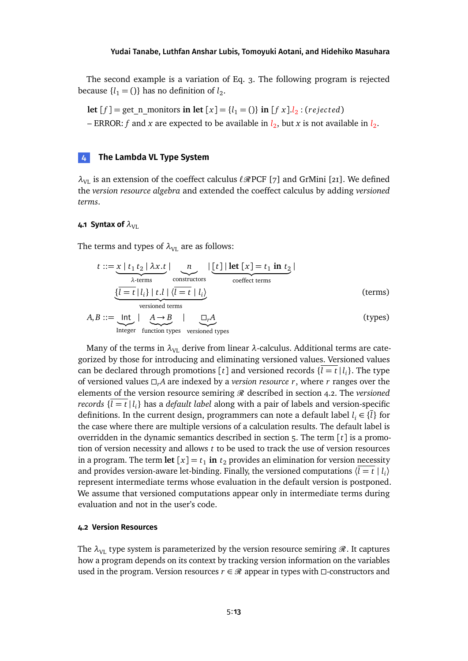The second example is a variation of Eq. [3.](#page-11-1) The following program is rejected because  $\{l_1 = 0\}$  has no definition of  $l_2$ .

**let**  $[f] = get\_n$  monitors **in let**  $[x] = \{l_1 = 0\}$  **in**  $[f \times l]$ . (*rejected*) - ERROR: f and x are expected to be available in  $l_2$ , but x is not available in  $l_2$ .

## <span id="page-12-0"></span>**4 The Lambda VL Type System**

 $\lambda_{\text{VL}}$  is an extension of the coeffect calculus  $\ell \mathcal{R}$ PCF [\[7\]](#page-23-1) and GrMini [\[21\]](#page-24-2). We defined the *version resource algebra* and extended the coeffect calculus by adding *versioned terms*.

## **4.1 Syntax of**  $\lambda_{\text{VL}}$

The terms and types of  $\lambda_{\text{VL}}$  are as follows:

$$
t ::= \underbrace{x \mid t_1 \mid t_2 \mid \lambda x \cdot t}_{\lambda \text{-terms}} \mid \underbrace{n}_{\text{constructors}} \mid \underbrace{[t] \mid \text{let } [x] = t_1 \text{ in } t_2}_{\text{coeffect terms}} \mid
$$
\n
$$
\underbrace{\{\overline{l = t} \mid l_i\} \mid t \cdot l \mid \langle \overline{l = t} \mid l_i \rangle}_{\text{versioned terms}} \quad \text{(terms)}
$$
\n
$$
A \cdot B ::= \text{Int} \mid A \rightarrow B \mid \Box A \quad \text{(types)}
$$

$$
A, B ::= \underbrace{\text{Int}}_{\text{Integer}} \mid \underbrace{A \rightarrow B}_{\text{function types}} \mid \underbrace{\Box_r A}_{\text{versioned types}} \tag{types}
$$

Many of the terms in  $\lambda_{\text{VL}}$  derive from linear  $\lambda$ -calculus. Additional terms are categorized by those for introducing and eliminating versioned values. Versioned values can be declared through promotions  $[t]$  and versioned records  $\{l = t | l_i\}$ . The type of versioned values  $\Box_r A$  are indexed by a *version resource r*, where *r* ranges over the elements of the version resource semiring  $\Re$  described in section [4.2.](#page-12-1) The *versioned records*  $\{\overline{l=t}\,|\,l_i\}$  has a *default label* along with a pair of labels and version-specific definitions. In the current design, programmers can note a default label  $l_i \in \{\bar{l}\}$  for the case where there are multiple versions of a calculation results. The default label is overridden in the dynamic semantics described in section [5.](#page-16-0) The term [*t*] is a promotion of version necessity and allows *t* to be used to track the use of version resources in a program. The term **let**  $[x] = t_1$  **in**  $t_2$  provides an elimination for version necessity and provides version-aware let-binding. Finally, the versioned computations  $\langle \overline{l} = t | l_i \rangle$ represent intermediate terms whose evaluation in the default version is postponed. We assume that versioned computations appear only in intermediate terms during evaluation and not in the user's code.

## <span id="page-12-1"></span>**4.2 Version Resources**

The  $\lambda_{\text{VL}}$  type system is parameterized by the version resource semiring  $\mathscr{R}$ . It captures how a program depends on its context by tracking version information on the variables used in the program. Version resources  $r \in \mathcal{R}$  appear in types with  $\Box$ -constructors and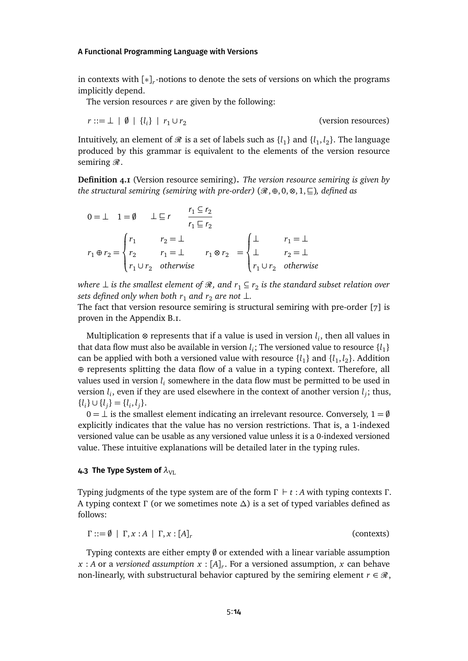in contexts with [∗]*<sup>r</sup>* -notions to denote the sets of versions on which the programs implicitly depend.

The version resources *r* are given by the following:

$$
r ::= \bot \mid \emptyset \mid \{l_i\} \mid r_1 \cup r_2
$$

(version resources)

Intuitively, an element of  $\mathscr R$  is a set of labels such as  $\{l_1\}$  and  $\{l_1,l_2\}$ . The language produced by this grammar is equivalent to the elements of the version resource semiring  $\mathcal{R}$ .

**Definition 4.1** (Version resource semiring)**.** *The version resource semiring is given by the structural semiring (semiring with pre-order)* ( $\mathcal{R}, \oplus, 0, \otimes, 1, \sqsubseteq$ )*, defined as* 

$$
0 = \perp 1 = \emptyset \qquad \perp \sqsubseteq r \qquad \frac{r_1 \subseteq r_2}{r_1 \sqsubseteq r_2}
$$
\n
$$
r_1 \oplus r_2 = \begin{cases} r_1 & r_2 = \perp \\ r_2 & r_1 = \perp \\ r_1 \cup r_2 & \text{otherwise} \end{cases} \qquad r_1 \otimes r_2 = \begin{cases} \perp & r_1 = \perp \\ \perp & r_2 = \perp \\ r_1 \cup r_2 & \text{otherwise} \end{cases}
$$

where  $\perp$  is the smallest element of  $\mathscr{R},$  and  $r_1 \subseteq r_2$  is the standard subset relation over *sets defined only when both*  $r_1$  *and*  $r_2$  *are not*  $\perp$ *.* 

The fact that version resource semiring is structural semiring with pre-order [\[7\]](#page-23-1) is proven in the Appendix [B.1.](#page-27-0)

Multiplication ⊗ represents that if a value is used in version  $l_i$ , then all values in that data flow must also be available in version  $l_i$ ; The versioned value to resource  $\{l_1\}$ can be applied with both a versioned value with resource  $\{l_1\}$  and  $\{l_1, l_2\}$ . Addition ⊕ represents splitting the data flow of a value in a typing context. Therefore, all values used in version  $l_i$  somewhere in the data flow must be permitted to be used in version  $l_i$ , even if they are used elsewhere in the context of another version  $l_j$ ; thus,  $\{l_i\} \cup \{l_j\} = \{l_i, l_j\}.$ 

 $0 = \perp$  is the smallest element indicating an irrelevant resource. Conversely,  $1 = \emptyset$ explicitly indicates that the value has no version restrictions. That is, a 1-indexed versioned value can be usable as any versioned value unless it is a 0-indexed versioned value. These intuitive explanations will be detailed later in the typing rules.

#### **4.3 The Type System of**  $\lambda_{V\perp}$

Typing judgments of the type system are of the form *Γ* ` *t* : *A* with typing contexts *Γ* . A typing context *Γ* (or we sometimes note *∆*) is a set of typed variables defined as follows:

$$
\Gamma ::= \emptyset \mid \Gamma, x : A \mid \Gamma, x : [A]_r
$$
 (contexts)

Typing contexts are either empty  $\emptyset$  or extended with a linear variable assumption *<sup>x</sup>* : *<sup>A</sup>* or a *versioned assumption <sup>x</sup>* : [*A*]*<sup>r</sup>* . For a versioned assumption, *x* can behave non-linearly, with substructural behavior captured by the semiring element  $r \in \mathcal{R}$ ,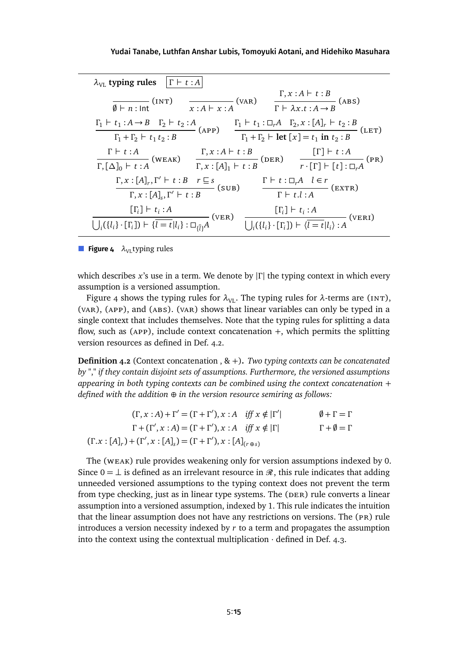<span id="page-14-0"></span>

| $\lambda_{\text{VI}}$ typing rules $ \Gamma \vdash t : A $                                                                                     |                                                                                                                                                                                                                                                                                 |
|------------------------------------------------------------------------------------------------------------------------------------------------|---------------------------------------------------------------------------------------------------------------------------------------------------------------------------------------------------------------------------------------------------------------------------------|
|                                                                                                                                                | $\frac{\Gamma, x:A \vdash t:B}{\emptyset \vdash n:\text{Int}}$ (INT) $\frac{\Gamma, x:A \vdash t:B}{\Gamma \vdash \lambda x.t:A \rightarrow B}$ (ABS)                                                                                                                           |
|                                                                                                                                                | $\frac{\Gamma_1 \vdash t_1 : A \to B \quad \Gamma_2 \vdash t_2 : A}{\Gamma_1 + \Gamma_2 \vdash t_1 t_2 : B}$ (APP) $\frac{\Gamma_1 \vdash t_1 : \Box_r A \quad \Gamma_2, x : [A]_r \vdash t_2 : B}{\Gamma_1 + \Gamma_2 \vdash \text{let } [x] = t_1 \text{ in } t_2 : B}$ (LET) |
|                                                                                                                                                |                                                                                                                                                                                                                                                                                 |
|                                                                                                                                                | $\frac{\Gamma \vdash t : A}{\Gamma, [\Delta]_0 \vdash t : A}$ (WEAK) $\frac{\Gamma, x : A \vdash t : B}{\Gamma, x : [A]_1 \vdash t : B}$ (DER) $\frac{[\Gamma] \vdash t : A}{r \cdot [\Gamma] \vdash [t] : \Box_r A}$ (PR)                                                      |
|                                                                                                                                                | $\frac{\Gamma, x : [A]_r, \Gamma' \vdash t : B \quad r \sqsubseteq s}{\Gamma, x : [A]_s, \Gamma' \vdash t : B}$ (SUB) $\frac{\Gamma \vdash t : \Box_r A \quad l \in r}{\Gamma \vdash t.l : A}$ (EXTR)                                                                           |
| $[\Gamma_i] \vdash t_i : A$<br>$\bigcup_i (\{l_i\} \cdot [\Gamma_i]) \vdash \{\overline{l} = t   l_i\} : \Box_{\overline{ij}}A$ <sup>(V)</sup> | $\frac{[\Gamma_i] \vdash t_i : A}{\bigcup_i (\{l_i\} \cdot [\Gamma_i]) \vdash \langle \overline{l} = t   l_i \rangle : A}$ (VERI)<br>$-(VER)$                                                                                                                                   |

**Figure 4**  $\lambda_{\text{VL}}$  typing rules

which describes *x*'s use in a term. We denote by |*Γ* | the typing context in which every assumption is a versioned assumption.

Figure [4](#page-14-0) shows the typing rules for  $\lambda_{\text{VL}}$ . The typing rules for  $\lambda$ -terms are (INT), (var), (app), and (abs). (var) shows that linear variables can only be typed in a single context that includes themselves. Note that the typing rules for splitting a data flow, such as ( $APP$ ), include context concatenation  $+$ , which permits the splitting version resources as defined in Def. [4.2.](#page-14-1)

<span id="page-14-1"></span>**Definition 4.2** (Context concatenation , & <sup>+</sup>)**.** *Two typing contexts can be concatenated by "*,*" if they contain disjoint sets of assumptions. Furthermore, the versioned assumptions appearing in both typing contexts can be combined using the context concatenation* + *defined with the addition* ⊕ *in the version resource semiring as follows:*

| $(\Gamma, x : A) + \Gamma' = (\Gamma + \Gamma'), x : A \text{ iff } x \notin  \Gamma' $  | $\emptyset + \Gamma = \Gamma$ |
|------------------------------------------------------------------------------------------|-------------------------------|
| $\Gamma + (\Gamma', x : A) = (\Gamma + \Gamma'), x : A \text{ iff } x \notin  \Gamma $   | $\Gamma + \emptyset = \Gamma$ |
| $(\Gamma.x : [A]_r) + (\Gamma', x : [A]_s) = (\Gamma + \Gamma'), x : [A]_{(r \oplus s)}$ |                               |

The (weak) rule provides weakening only for version assumptions indexed by 0. Since  $0 = \perp$  is defined as an irrelevant resource in  $\mathcal{R}$ , this rule indicates that adding unneeded versioned assumptions to the typing context does not prevent the term from type checking, just as in linear type systems. The (DER) rule converts a linear assumption into a versioned assumption, indexed by 1. This rule indicates the intuition that the linear assumption does not have any restrictions on versions. The (pr) rule introduces a version necessity indexed by *r* to a term and propagates the assumption into the context using the contextual multiplication  $\cdot$  defined in Def. [4.3.](#page-15-0)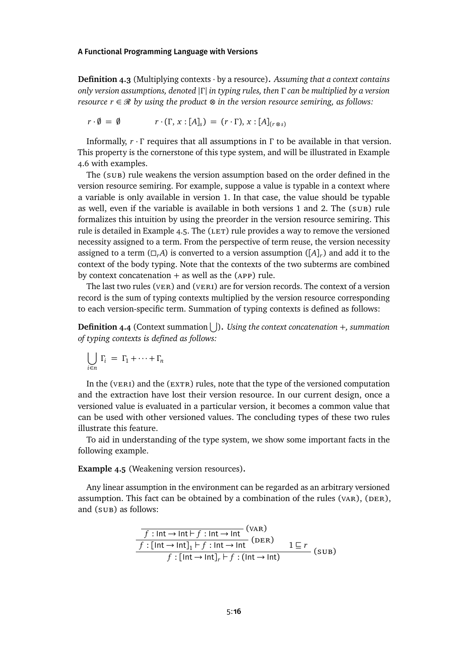<span id="page-15-0"></span>**Definition 4.3** (Multiplying contexts · by a resource)**.** *Assuming that a context contains only version assumptions, denoted* |*Γ* | *in typing rules, then Γ can be multiplied by a version resource*  $r \in \mathcal{R}$  *by using the product*  $\otimes$  *in the version resource semiring, as follows:* 

$$
r \cdot \emptyset = \emptyset \qquad r \cdot (\Gamma, x : [A]_s) = (r \cdot \Gamma), x : [A]_{(r \otimes s)}
$$

Informally, *r* · *Γ* requires that all assumptions in *Γ* to be available in that version. This property is the cornerstone of this type system, and will be illustrated in Example [4.6](#page-16-1) with examples.

The (sub) rule weakens the version assumption based on the order defined in the version resource semiring. For example, suppose a value is typable in a context where a variable is only available in version 1. In that case, the value should be typable as well, even if the variable is available in both versions 1 and 2. The (sub) rule formalizes this intuition by using the preorder in the version resource semiring. This rule is detailed in Example [4.5.](#page-15-1) The  $(LET)$  rule provides a way to remove the versioned necessity assigned to a term. From the perspective of term reuse, the version necessity assigned to a term  $(\Box_r A)$  is converted to a version assumption  $([A]_r)$  and add it to the context of the body typing. Note that the contexts of the two subterms are combined by context concatenation  $+$  as well as the (APP) rule.

The last two rules ( $v_{\text{ER}}$ ) and ( $v_{\text{ER}}$ ) are for version records. The context of a version record is the sum of typing contexts multiplied by the version resource corresponding to each version-specific term. Summation of typing contexts is defined as follows:

**Definition 4.4** (Context summation  $\bigcup$ ). Using the context concatenation +, summation *of typing contexts is defined as follows:*

$$
\bigcup_{i \in n} \Gamma_i = \Gamma_1 + \dots + \Gamma_n
$$

In the ( $v$ ERI) and the (EXTR) rules, note that the type of the versioned computation and the extraction have lost their version resource. In our current design, once a versioned value is evaluated in a particular version, it becomes a common value that can be used with other versioned values. The concluding types of these two rules illustrate this feature.

To aid in understanding of the type system, we show some important facts in the following example.

<span id="page-15-1"></span>**Example 4.5** (Weakening version resources)**.**

Any linear assumption in the environment can be regarded as an arbitrary versioned assumption. This fact can be obtained by a combination of the rules (vAR),  $(DER)$ , and (sub) as follows:

$$
\frac{f: \text{Int} \to \text{Int} \to f: \text{Int} \to \text{Int}}{f: [\text{Int} \to \text{Int}]_1 \vdash f: \text{Int} \to \text{Int}} \text{(DER)}
$$
\n
$$
f: [\text{Int} \to \text{Int}]_r \vdash f: (\text{Int} \to \text{Int})
$$
\n
$$
(SUB)
$$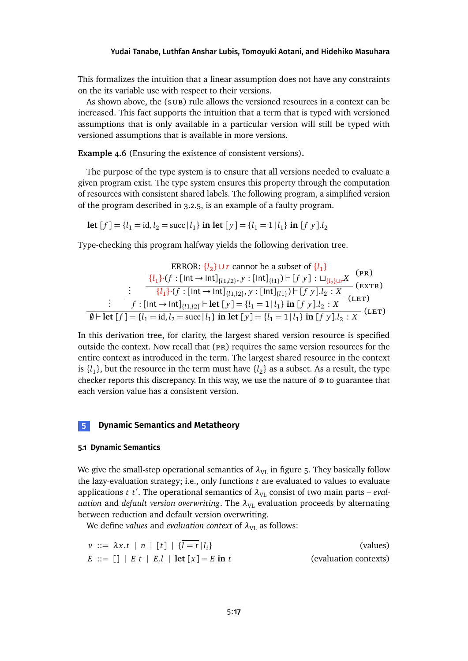This formalizes the intuition that a linear assumption does not have any constraints on the its variable use with respect to their versions.

As shown above, the (sub) rule allows the versioned resources in a context can be increased. This fact supports the intuition that a term that is typed with versioned assumptions that is only available in a particular version will still be typed with versioned assumptions that is available in more versions.

<span id="page-16-1"></span>**Example 4.6** (Ensuring the existence of consistent versions)**.**

The purpose of the type system is to ensure that all versions needed to evaluate a given program exist. The type system ensures this property through the computation of resources with consistent shared labels. The following program, a simplified version of the program described in [3.2.5,](#page-11-2) is an example of a faulty program.

**let**  $[f] = \{l_1 = \text{id}, l_2 = \text{succ} | l_1\}$  **in** let  $[y] = \{l_1 = 1 | l_1\}$  **in**  $[f y] \cdot l_2$ 

Type-checking this program halfway yields the following derivation tree.

ERROR: {*l*<sub>2</sub>} ∪ *r* cannot be a subset of {*l*<sub>1</sub>}  
\n{*l*<sub>1</sub>}·(*f* : [Int → Int]<sub>{*l*<sub>1</sub>,*l*<sub>2</sub>}, *y* : [Int]<sub>{*l*<sub>1</sub></sub>}) ⊢ [*f y*] : 
$$
\Box_{\{l_2\} \cup r} X
$$
 (ER)</sub>

\n∴ {*l*<sub>1</sub>}·(*f* : [Int → Int]<sub>{*l*<sub>1</sub>,*l*<sub>2</sub>}, *y* : [Int]<sub>{*l*<sub>1</sub></sub>}) ⊢ [*f y*].*l*<sub>2</sub> : *X* (ERT)</sub>

\n∴ {*r*<sub>1</sub> : [Int → Int]<sub>{*l*<sub>1</sub>,*l*<sub>2</sub>} ⊢ let [*y*] = {*l*<sub>1</sub> = 1 | *l*<sub>1</sub>} in [*f y*].*l*<sub>2</sub> : *X* (LET)</sub>

\n⇒ {*l*<sub>1</sub> = {*l*<sub>1</sub> = id, *l*<sub>2</sub> = succ|*l*<sub>1</sub>} in let [*y*] = {*l*<sub>1</sub> = 1 | *l*<sub>1</sub>} in [*f y*].*l*<sub>2</sub> : *X* (LET)

In this derivation tree, for clarity, the largest shared version resource is specified outside the context. Now recall that  $(pR)$  requires the same version resources for the entire context as introduced in the term. The largest shared resource in the context is  $\{l_1\}$ , but the resource in the term must have  $\{l_2\}$  as a subset. As a result, the type checker reports this discrepancy. In this way, we use the nature of ⊗ to guarantee that each version value has a consistent version.

# <span id="page-16-0"></span>**5 Dynamic Semantics and Metatheory**

#### **5.1 Dynamic Semantics**

We give the small-step operational semantics of  $\lambda_{\text{VL}}$  in figure [5.](#page-17-0) They basically follow the lazy-evaluation strategy; i.e., only functions *t* are evaluated to values to evaluate applications *t t'*. The operational semantics of  $\lambda_{\text{VL}}$  consist of two main parts – *evaluation* and *default version overwriting*. The  $\lambda_{VL}$  evaluation proceeds by alternating between reduction and default version overwriting.

We define *values* and *evaluation context* of  $\lambda_{\text{VL}}$  as follows:

| $v ::= \lambda x.t \mid n \mid [t] \mid \{l = t \mid l_i\}$ | (values)              |
|-------------------------------------------------------------|-----------------------|
| $E ::= []   E t   E.l   let [x] = E in t$                   | (evaluation contexts) |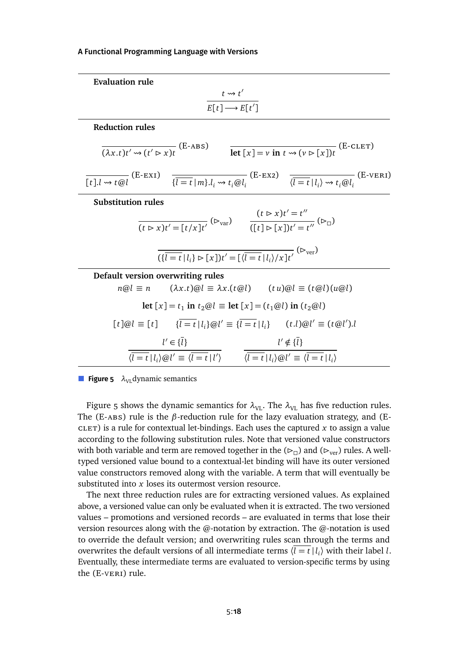<span id="page-17-0"></span>

| <b>Evaluation rule</b>                                                                                                                                                                                                                                          |
|-----------------------------------------------------------------------------------------------------------------------------------------------------------------------------------------------------------------------------------------------------------------|
| $t \rightsquigarrow t'$                                                                                                                                                                                                                                         |
| $\overline{E[t]} \longrightarrow E[t']$                                                                                                                                                                                                                         |
| <b>Reduction rules</b>                                                                                                                                                                                                                                          |
| $\frac{1}{(\lambda x.t)t' \rightsquigarrow (t' \rhd x)t}$ (E-ABS) $\qquad \frac{1}{\text{let } [x] = v \text{ in } t \rightsquigarrow (v \rhd [x])t}$ (E-CLET)                                                                                                  |
| $\frac{1}{\sqrt{t} \cdot l \cdot \omega t \cdot \omega l}$ (E-EXI) $\frac{1}{\sqrt{l} = t  m\rangle l_i \cdot \omega t_i \cdot \omega l_i}$ (E-EX2) $\frac{1}{\sqrt{l} = t  l_i\rangle \cdot \omega t_i \cdot \omega l_i}$ (E-VERI)                             |
| <b>Substitution rules</b>                                                                                                                                                                                                                                       |
| $\frac{(t \triangleright x)t' = [t/x]t'}{(t \triangleright x)t' = t''}$ ( $\triangleright_{var}$ )<br>$\frac{(t \triangleright x)t' = t''}{([t] \triangleright [x]t' = t''}$ ( $\triangleright_{\Box}$ )                                                        |
|                                                                                                                                                                                                                                                                 |
| $\overline{(\{\overline{l} \equiv t   l_i\} \triangleright [\overline{x}])t' = [\langle \overline{l} \equiv t   l_i \rangle / \overline{x}]\overline{t'}}$ ( $\triangleright_{\text{ver}}$ )                                                                    |
| Default version overwriting rules                                                                                                                                                                                                                               |
| $n@l \equiv n$ $(\lambda x.t)@l \equiv \lambda x.(t@l)$ $(tu)@l \equiv (t@l)(u@l)$                                                                                                                                                                              |
| let $[x] = t_1$ in $t_2@l \equiv$ let $[x] = (t_1@l)$ in $(t_2@l)$                                                                                                                                                                                              |
| $[t]\omega l \equiv [t]$ $\{l = t   l_i\} \omega l' \equiv \{l = t   l_i\}$ $(t.l)\omega l' \equiv (t \omega l').l$                                                                                                                                             |
|                                                                                                                                                                                                                                                                 |
| $\frac{l'\in\{l\}}{\langle \overline{l=t}\, \, l_i\rangle\!\otimes\! l'\equiv \langle \overline{l=t}\, \, l'\rangle} \qquad \frac{l'\notin\{\overline{l}\}}{\langle \overline{l=t}\, \, l_i\rangle\!\otimes\! l'\equiv \langle \overline{l=t}\, \, l_i\rangle}$ |

**Figure 5**  $\lambda_{\text{VL}}$  dynamic semantics

Figure [5](#page-17-0) shows the dynamic semantics for  $\lambda_{\text{VL}}$ . The  $\lambda_{\text{VL}}$  has five reduction rules. The (E-abs) rule is the *β*-reduction rule for the lazy evaluation strategy, and (E- $CLET$ ) is a rule for contextual let-bindings. Each uses the captured  $x$  to assign a value according to the following substitution rules. Note that versioned value constructors with both variable and term are removed together in the  $(\triangleright_{\sqcap})$  and  $(\triangleright_{\text{ver}})$  rules. A welltyped versioned value bound to a contextual-let binding will have its outer versioned value constructors removed along with the variable. A term that will eventually be substituted into *x* loses its outermost version resource.

The next three reduction rules are for extracting versioned values. As explained above, a versioned value can only be evaluated when it is extracted. The two versioned values – promotions and versioned records – are evaluated in terms that lose their version resources along with the @-notation by extraction. The @-notation is used to override the default version; and overwriting rules scan through the terms and overwrites the default versions of all intermediate terms  $\langle \overline{l} = t | l_i \rangle$  with their label *l*. Eventually, these intermediate terms are evaluated to version-specific terms by using the (E-veri) rule.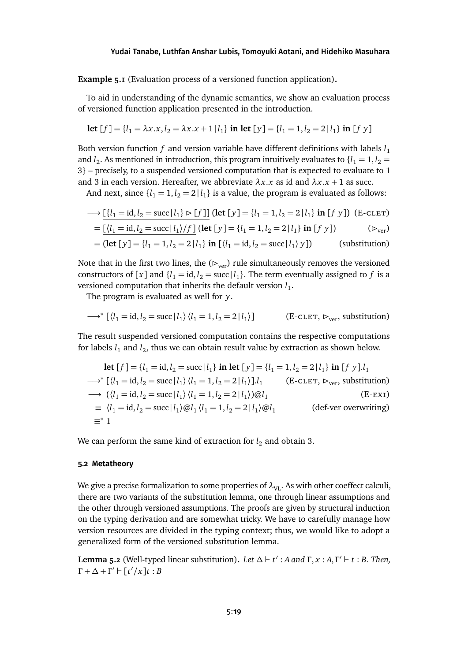**Example 5.1** (Evaluation process of a versioned function application)**.**

To aid in understanding of the dynamic semantics, we show an evaluation process of versioned function application presented in the introduction.

let 
$$
[f] = \{l_1 = \lambda x.x, l_2 = \lambda x.x + 1 | l_1\}
$$
 in let  $[y] = \{l_1 = 1, l_2 = 2 | l_1\}$  in  $[f y]$ 

Both version function  $f$  and version variable have different definitions with labels  $l_1$ and  $l_2$ . As mentioned in introduction, this program intuitively evaluates to  $\{l_1 = 1, l_2 = 1\}$ 3} – precisely, to a suspended versioned computation that is expected to evaluate to 1 and 3 in each version. Hereafter, we abbreviate  $\lambda x.x$  as id and  $\lambda x.x + 1$  as succ.

And next, since  $\{l_1 = 1, l_2 = 2 \mid l_1\}$  is a value, the program is evaluated as follows:

$$
\longrightarrow [\{l_1 = \text{id}, l_2 = \text{succ} \mid l_1\} \triangleright [f]] \text{ (let } [y] = \{l_1 = 1, l_2 = 2 \mid l_1\} \text{ in } [f \ y] \text{ ) (E-cLET)}
$$

$$
= \underline{\left[ \langle l_1 = \text{id}, l_2 = \text{succ} \, | \, l_1 \rangle / f \, \right]} \, (\text{let } [y] = \{l_1 = 1, l_2 = 2 \, | \, l_1 \} \, \text{in } [f \, y] )
$$
 (D<sub>ver</sub>)

$$
= (\text{let } [y] = \{l_1 = 1, l_2 = 2 \mid l_1\} \text{ in } [\langle l_1 = \text{id}, l_2 = \text{succ} \mid l_1 \rangle y])
$$
 (substitution)

Note that in the first two lines, the  $(\triangleright_{\text{ver}})$  rule simultaneously removes the versioned constructors of [x] and { $l_1 = id$ ,  $l_2 = succ$ | $l_1$ }. The term eventually assigned to *f* is a versioned computation that inherits the default version  $l_1$ .

The program is evaluated as well for *y*.

$$
\longrightarrow^* [\langle l_1 = \text{id}, l_2 = \text{succ} | l_1 \rangle \langle l_1 = 1, l_2 = 2 | l_1 \rangle] \qquad \text{(E-cLET, } \rhd_{\text{ver}}, \text{ substitution)}
$$

The result suspended versioned computation contains the respective computations for labels  $l_1$  and  $l_2$ , thus we can obtain result value by extraction as shown below.

let 
$$
[f]
$$
 = { $l_1$  = id,  $l_2$  = succ| $l_1$ } in let  $[y]$  = { $l_1$  = 1,  $l_2$  = 2| $l_1$ } in  $[f y]$ . $l_1$   
\n→\*  $[(l_1 = id, l_2 = succ|l_1) (l_1 = 1, l_2 = 2|l_1)]$ . $[(E\text{-CLET}, \triangleright_{ver}, substitution)]$   
\n→  $((l_1 = id, l_2 = succ|l_1) (l_1 = 1, l_2 = 2|l_1))@l_1$   
\n≡  $(l_1 = id, l_2 = succ|l_1)@l_1 (l_1 = 1, l_2 = 2|l_1)@l_1$   
\n≡\*1 (def-ver overwriting)

We can perform the same kind of extraction for  $l_2$  and obtain 3.

## **5.2 Metatheory**

We give a precise formalization to some properties of  $\lambda_{VI}$ . As with other coeffect calculi, there are two variants of the substitution lemma, one through linear assumptions and the other through versioned assumptions. The proofs are given by structural induction on the typing derivation and are somewhat tricky. We have to carefully manage how version resources are divided in the typing context; thus, we would like to adopt a generalized form of the versioned substitution lemma.

**Lemma 5.2** (Well-typed linear substitution). *Let*  $\Delta$   $\vdash$  *t'* : *A* and Γ, *x* : *A*, Γ<sup>'</sup>  $\vdash$  *t* : *B. Then,*  $\Gamma + \Delta + \Gamma' \vdash [t'/x]t : B$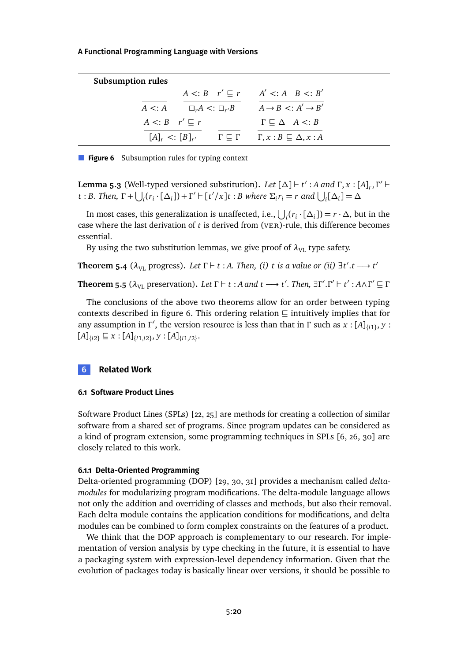<span id="page-19-1"></span>

| <b>Subsumption rules</b>          |                                                                                         |  |
|-----------------------------------|-----------------------------------------------------------------------------------------|--|
|                                   | $A \leq: B \quad r' \sqsubseteq r \qquad A' \leq: A \quad B \leq: B'$                   |  |
|                                   | $A \leq: A$ $\Box_r A \leq: \Box_{r'} B$ $A \rightarrow B \leq: A' \rightarrow B'$      |  |
| $A \leq B \quad r' \sqsubseteq r$ | $\Gamma \subseteq \Delta \quad A \lt: B$                                                |  |
|                                   | $[A]_r \leq [B]_{r'}$ $\Gamma \subseteq \Gamma$ $\Gamma, x : B \subseteq \Delta, x : A$ |  |

**Figure 6** Subsumption rules for typing context

**Lemma 5.3** (Well-typed versioned substitution). Let  $[\Delta] \vdash t' : A$  and  $\Gamma, x : [A]_r, \Gamma' \vdash$ t : B. Then,  $\Gamma$  +  $\bigcup_i (r_i \cdot [\Delta_i])$  +  $\Gamma'$  +  $[t'/x]$ t : B where  $\Sigma_i r_i = r$  and  $\bigcup_i [\Delta_i] = \Delta$ 

In most cases, this generalization is unaffected, i.e.,  $\bigcup_i (r_i \cdot [\Delta_i]) = r \cdot \Delta$ , but in the case where the last derivation of *t* is derived from (ver)-rule, this difference becomes essential.

By using the two substitution lemmas, we give proof of  $\lambda_{\text{VL}}$  type safety.

**Theorem 5.4** ( $\lambda_{\text{VL}}$  progress). Let  $\Gamma \vdash t : A$ . Then, (i) *t* is a value or (ii)  $\exists t'.t \longrightarrow t'$ 

**Theorem 5.5** ( $\lambda_{\text{VL}}$  preservation). Let  $\Gamma \vdash t : A$  and  $t \longrightarrow t'$ . Then,  $\exists \Gamma'. \Gamma' \vdash t' : A \wedge \Gamma' \sqsubseteq \Gamma$ 

The conclusions of the above two theorems allow for an order between typing contexts described in figure [6.](#page-19-1) This ordering relation  $\subseteq$  intuitively implies that for any assumption in *Γ'*, the version resource is less than that in *Γ* such as  $x$  : [A]<sub>{*l*1}</sub>, *y* :  $[A]_{\{l2\}} \sqsubseteq x : [A]_{\{l1,l2\}}, y : [A]_{\{l1,l2\}}.$ 

## <span id="page-19-0"></span>**6 Related Work**

### **6.1 Software Product Lines**

Software Product Lines (SPLs) [\[22,](#page-24-3) [25\]](#page-24-4) are methods for creating a collection of similar software from a shared set of programs. Since program updates can be considered as a kind of program extension, some programming techniques in SPLs [\[6,](#page-23-5) [26,](#page-25-4) [30\]](#page-25-5) are closely related to this work.

## **6.1.1 Delta-Oriented Programming**

Delta-oriented programming (DOP) [\[29,](#page-25-6) [30,](#page-25-5) [31\]](#page-25-7) provides a mechanism called *deltamodules* for modularizing program modifications. The delta-module language allows not only the addition and overriding of classes and methods, but also their removal. Each delta module contains the application conditions for modifications, and delta modules can be combined to form complex constraints on the features of a product.

We think that the DOP approach is complementary to our research. For implementation of version analysis by type checking in the future, it is essential to have a packaging system with expression-level dependency information. Given that the evolution of packages today is basically linear over versions, it should be possible to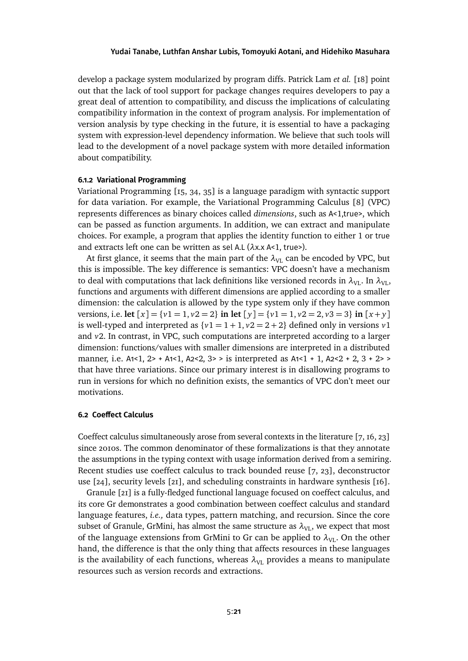develop a package system modularized by program diffs. Patrick Lam *et al.* [\[18\]](#page-24-5) point out that the lack of tool support for package changes requires developers to pay a great deal of attention to compatibility, and discuss the implications of calculating compatibility information in the context of program analysis. For implementation of version analysis by type checking in the future, it is essential to have a packaging system with expression-level dependency information. We believe that such tools will lead to the development of a novel package system with more detailed information about compatibility.

# **6.1.2 Variational Programming**

Variational Programming [\[15,](#page-24-6) [34,](#page-25-8) [35\]](#page-25-9) is a language paradigm with syntactic support for data variation. For example, the Variational Programming Calculus [\[8\]](#page-23-6) (VPC) represents differences as binary choices called *dimensions*, such as A<1,true>, which can be passed as function arguments. In addition, we can extract and manipulate choices. For example, a program that applies the identity function to either 1 or true and extracts left one can be written as sel A.L (*λ*x.x A<1, true>).

At first glance, it seems that the main part of the  $\lambda_{\text{VL}}$  can be encoded by VPC, but this is impossible. The key difference is semantics: VPC doesn't have a mechanism to deal with computations that lack definitions like versioned records in  $\lambda_{\text{VL}}$ . In  $\lambda_{\text{VL}}$ , functions and arguments with different dimensions are applied according to a smaller dimension: the calculation is allowed by the type system only if they have common versions, i.e. **let**  $[x] = \{v1 = 1, v2 = 2\}$  **in let**  $[y] = \{v1 = 1, v2 = 2, v3 = 3\}$  **in**  $[x + y]$ is well-typed and interpreted as  $\{v1 = 1 + 1, v2 = 2 + 2\}$  defined only in versions  $v1$ and *v*2. In contrast, in VPC, such computations are interpreted according to a larger dimension: functions/values with smaller dimensions are interpreted in a distributed manner, i.e.  $A1 < 1$ ,  $2 > + A1 < 1$ ,  $A2 < 2$ ,  $3 > 1$  is interpreted as  $A1 < 1 + 1$ ,  $A2 < 2 + 2$ ,  $3 + 2 > 2$ that have three variations. Since our primary interest is in disallowing programs to run in versions for which no definition exists, the semantics of VPC don't meet our motivations.

#### **6.2 Coeffect Calculus**

Coeffect calculus simultaneously arose from several contexts in the literature [\[7,](#page-23-1) [16,](#page-24-7) [23\]](#page-24-8) since 2010s. The common denominator of these formalizations is that they annotate the assumptions in the typing context with usage information derived from a semiring. Recent studies use coeffect calculus to track bounded reuse [\[7,](#page-23-1) [23\]](#page-24-8), deconstructor use [\[24\]](#page-24-9), security levels [\[21\]](#page-24-2), and scheduling constraints in hardware synthesis [\[16\]](#page-24-7).

Granule [\[21\]](#page-24-2) is a fully-fledged functional language focused on coeffect calculus, and its core Gr demonstrates a good combination between coeffect calculus and standard language features, *i.e.,* data types, pattern matching, and recursion. Since the core subset of Granule, GrMini, has almost the same structure as  $\lambda_{\text{VL}}$ , we expect that most of the language extensions from GrMini to Gr can be applied to  $\lambda_{\text{VL}}$ . On the other hand, the difference is that the only thing that affects resources in these languages is the availability of each functions, whereas  $\lambda_{\text{VL}}$  provides a means to manipulate resources such as version records and extractions.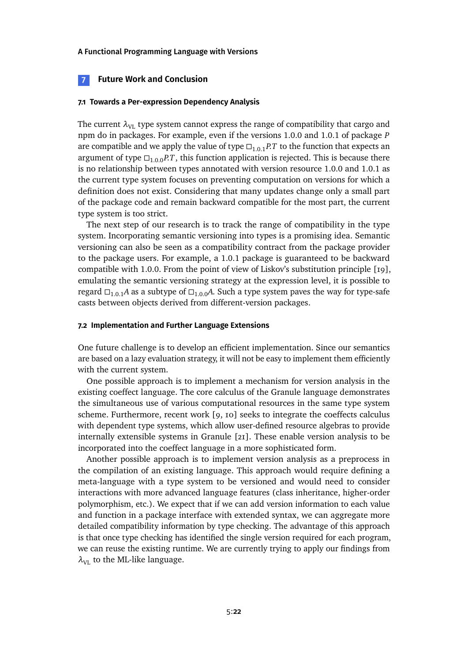## <span id="page-21-0"></span>**7 Future Work and Conclusion**

## **7.1 Towards a Per-expression Dependency Analysis**

The current  $\lambda_{\text{VL}}$  type system cannot express the range of compatibility that cargo and npm do in packages. For example, even if the versions 1.0.0 and 1.0.1 of package *P* are compatible and we apply the value of type  $\Box_{1,0,1}P$ .*T* to the function that expects an argument of type  $\Box_{1,0,0}PT$ , this function application is rejected. This is because there is no relationship between types annotated with version resource 1.0.0 and 1.0.1 as the current type system focuses on preventing computation on versions for which a definition does not exist. Considering that many updates change only a small part of the package code and remain backward compatible for the most part, the current type system is too strict.

The next step of our research is to track the range of compatibility in the type system. Incorporating semantic versioning into types is a promising idea. Semantic versioning can also be seen as a compatibility contract from the package provider to the package users. For example, a 1.0.1 package is guaranteed to be backward compatible with 1.0.0. From the point of view of Liskov's substitution principle [\[19\]](#page-24-10), emulating the semantic versioning strategy at the expression level, it is possible to regard  $\Box_{1,0,1}A$  as a subtype of  $\Box_{1,0,0}A$ . Such a type system paves the way for type-safe casts between objects derived from different-version packages.

## **7.2 Implementation and Further Language Extensions**

One future challenge is to develop an efficient implementation. Since our semantics are based on a lazy evaluation strategy, it will not be easy to implement them efficiently with the current system.

One possible approach is to implement a mechanism for version analysis in the existing coeffect language. The core calculus of the Granule language demonstrates the simultaneous use of various computational resources in the same type system scheme. Furthermore, recent work [\[9,](#page-23-7) [10\]](#page-23-8) seeks to integrate the coeffects calculus with dependent type systems, which allow user-defined resource algebras to provide internally extensible systems in Granule [\[21\]](#page-24-2). These enable version analysis to be incorporated into the coeffect language in a more sophisticated form.

Another possible approach is to implement version analysis as a preprocess in the compilation of an existing language. This approach would require defining a meta-language with a type system to be versioned and would need to consider interactions with more advanced language features (class inheritance, higher-order polymorphism, etc.). We expect that if we can add version information to each value and function in a package interface with extended syntax, we can aggregate more detailed compatibility information by type checking. The advantage of this approach is that once type checking has identified the single version required for each program, we can reuse the existing runtime. We are currently trying to apply our findings from  $\lambda_{\text{VL}}$  to the ML-like language.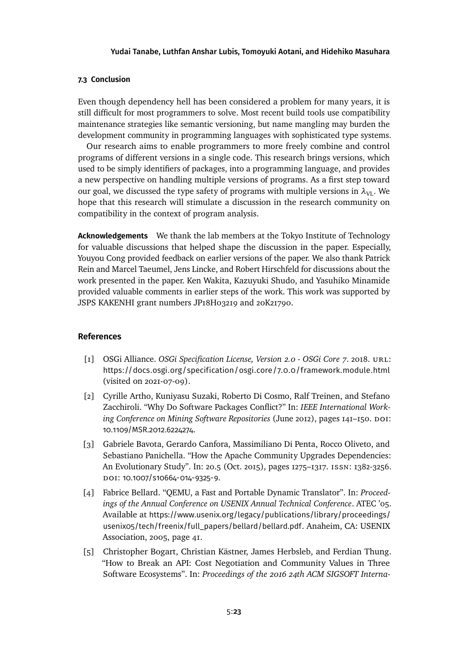# **7.3 Conclusion**

Even though dependency hell has been considered a problem for many years, it is still difficult for most programmers to solve. Most recent build tools use compatibility maintenance strategies like semantic versioning, but name mangling may burden the development community in programming languages with sophisticated type systems.

Our research aims to enable programmers to more freely combine and control programs of different versions in a single code. This research brings versions, which used to be simply identifiers of packages, into a programming language, and provides a new perspective on handling multiple versions of programs. As a first step toward our goal, we discussed the type safety of programs with multiple versions in  $\lambda_{\text{VL}}$ . We hope that this research will stimulate a discussion in the research community on compatibility in the context of program analysis.

**Acknowledgements** We thank the lab members at the Tokyo Institute of Technology for valuable discussions that helped shape the discussion in the paper. Especially, Youyou Cong provided feedback on earlier versions of the paper. We also thank Patrick Rein and Marcel Taeumel, Jens Lincke, and Robert Hirschfeld for discussions about the work presented in the paper. Ken Wakita, Kazuyuki Shudo, and Yasuhiko Minamide provided valuable comments in earlier steps of the work. This work was supported by JSPS KAKENHI grant numbers JP18H03219 and 20K21790.

## **References**

- <span id="page-22-2"></span>[1] OSGi Alliance. *OSGi Specification License, Version 2.0 - OSGi Core 7*. 2018. url: <https://docs.osgi.org/specification/osgi.core/7.0.0/framework.module.html> (visited on 2021-07-09).
- <span id="page-22-3"></span>[2] Cyrille Artho, Kuniyasu Suzaki, Roberto Di Cosmo, Ralf Treinen, and Stefano Zacchiroli. "Why Do Software Packages Conflict?" In: *IEEE International Work*ing Conference on Mining Software Repositories (June 2012), pages 141–150. DOI: [10.1109/MSR.2012.6224274](https://doi.org/10.1109/MSR.2012.6224274).
- <span id="page-22-0"></span>[3] Gabriele Bavota, Gerardo Canfora, Massimiliano Di Penta, Rocco Oliveto, and Sebastiano Panichella. "How the Apache Community Upgrades Dependencies: An Evolutionary Study". In: 20.5 (Oct. 2015), pages 1275–1317. issn: 1382-3256. DOI: 10.1007/S10664-014-9325-9.
- <span id="page-22-1"></span>[4] Fabrice Bellard. "QEMU, a Fast and Portable Dynamic Translator". In: *Proceedings of the Annual Conference on USENIX Annual Technical Conference*. ATEC '05. Available at [https://www.usenix.org/legacy/publications/library/proceedings/](https://www.usenix.org/legacy/publications/library/proceedings/usenix05/tech/freenix/full_papers/bellard/bellard.pdf) [usenix05/tech/freenix/full\\_papers/bellard/bellard.pdf](https://www.usenix.org/legacy/publications/library/proceedings/usenix05/tech/freenix/full_papers/bellard/bellard.pdf). Anaheim, CA: USENIX Association, 2005, page 41.
- <span id="page-22-4"></span>[5] Christopher Bogart, Christian Kästner, James Herbsleb, and Ferdian Thung. "How to Break an API: Cost Negotiation and Community Values in Three Software Ecosystems". In: *Proceedings of the 2016 24th ACM SIGSOFT Interna-*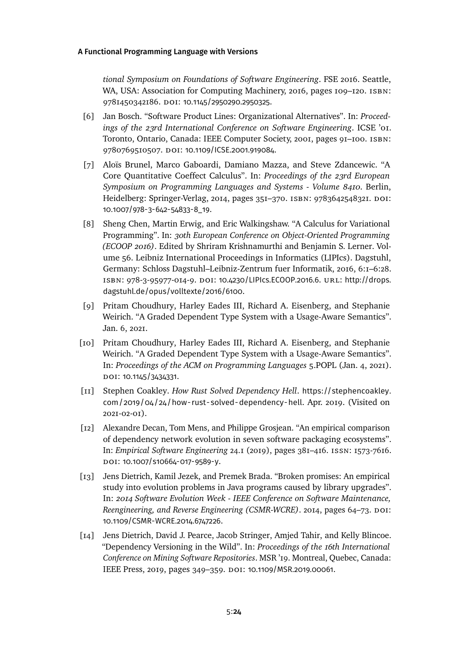*tional Symposium on Foundations of Software Engineering*. FSE 2016. Seattle, WA, USA: Association for Computing Machinery, 2016, pages 109–120. ISBN: 9781450342186. doi: [10.1145/2950290.2950325](https://doi.org/10.1145/2950290.2950325).

- <span id="page-23-5"></span>[6] Jan Bosch. "Software Product Lines: Organizational Alternatives". In: *Proceedings of the 23rd International Conference on Software Engineering*. ICSE '01. Toronto, Ontario, Canada: IEEE Computer Society, 2001, pages 91–100. isbn: 9780769510507. DOI: [10.1109/ICSE.2001.919084](https://doi.org/10.1109/ICSE.2001.919084).
- <span id="page-23-1"></span>[7] Aloïs Brunel, Marco Gaboardi, Damiano Mazza, and Steve Zdancewic. "A Core Quantitative Coeffect Calculus". In: *Proceedings of the 23rd European Symposium on Programming Languages and Systems - Volume 8410*. Berlin, Heidelberg: Springer-Verlag, 2014, pages 351-370. ISBN: 9783642548321. DOI: [10.1007/978-3-642-54833-8\\_19](https://doi.org/10.1007/978-3-642-54833-8_19).
- <span id="page-23-6"></span>[8] Sheng Chen, Martin Erwig, and Eric Walkingshaw. "A Calculus for Variational Programming". In: *30th European Conference on Object-Oriented Programming (ECOOP 2016)*. Edited by Shriram Krishnamurthi and Benjamin S. Lerner. Volume 56. Leibniz International Proceedings in Informatics (LIPIcs). Dagstuhl, Germany: Schloss Dagstuhl–Leibniz-Zentrum fuer Informatik, 2016, 6:1–6:28. isbn: 978-3-95977-014-9. doi: [10.4230/LIPIcs.ECOOP.2016.6](https://doi.org/10.4230/LIPIcs.ECOOP.2016.6). url: [http://drops.](http://drops.dagstuhl.de/opus/volltexte/2016/6100) [dagstuhl.de/opus/volltexte/2016/6100](http://drops.dagstuhl.de/opus/volltexte/2016/6100).
- <span id="page-23-7"></span>[9] Pritam Choudhury, Harley Eades III, Richard A. Eisenberg, and Stephanie Weirich. "A Graded Dependent Type System with a Usage-Aware Semantics". Jan. 6, 2021.
- <span id="page-23-8"></span>[10] Pritam Choudhury, Harley Eades III, Richard A. Eisenberg, and Stephanie Weirich. "A Graded Dependent Type System with a Usage-Aware Semantics". In: *Proceedings of the ACM on Programming Languages* 5.POPL (Jan. 4, 2021). DOI: [10.1145/3434331](https://doi.org/10.1145/3434331).
- <span id="page-23-4"></span>[11] Stephen Coakley. *How Rust Solved Dependency Hell*. [https://stephencoakley.](https://stephencoakley.com/2019/04/24/how-rust-solved-dependency-hell) [com/2019/04/24/how- rust-solved-dependency-hell](https://stephencoakley.com/2019/04/24/how-rust-solved-dependency-hell). Apr. 2019. (Visited on 2021-02-01).
- <span id="page-23-3"></span>[12] Alexandre Decan, Tom Mens, and Philippe Grosjean. "An empirical comparison of dependency network evolution in seven software packaging ecosystems". In: *Empirical Software Engineering* 24.1 (2019), pages 381–416. issn: 1573-7616. doi: [10.1007/s10664-017-9589-y](https://doi.org/10.1007/s10664-017-9589-y).
- <span id="page-23-0"></span>[13] Jens Dietrich, Kamil Jezek, and Premek Brada. "Broken promises: An empirical study into evolution problems in Java programs caused by library upgrades". In: *2014 Software Evolution Week - IEEE Conference on Software Maintenance, Reengineering, and Reverse Engineering (CSMR-WCRE).* 2014, pages 64-73. DOI: [10.1109/CSMR-WCRE.2014.6747226](https://doi.org/10.1109/CSMR-WCRE.2014.6747226).
- <span id="page-23-2"></span>[14] Jens Dietrich, David J. Pearce, Jacob Stringer, Amjed Tahir, and Kelly Blincoe. "Dependency Versioning in the Wild". In: *Proceedings of the 16th International Conference on Mining Software Repositories*. MSR '19. Montreal, Quebec, Canada: IEEE Press, 2019, pages 349–359. doi: [10.1109/MSR.2019.00061](https://doi.org/10.1109/MSR.2019.00061).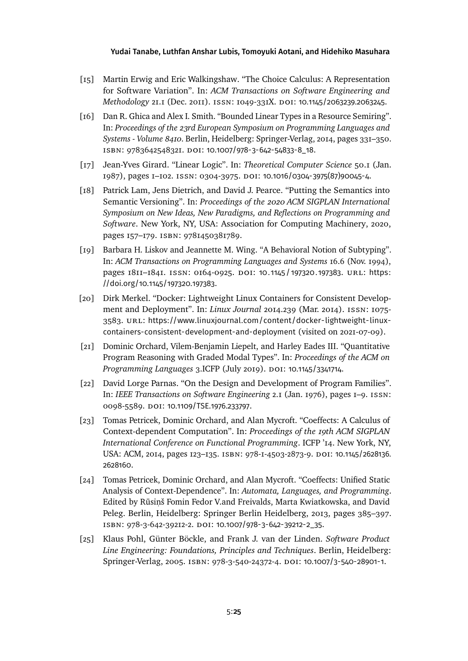- <span id="page-24-6"></span>[15] Martin Erwig and Eric Walkingshaw. "The Choice Calculus: A Representation for Software Variation". In: *ACM Transactions on Software Engineering and Methodology* 21.1 (Dec. 2011). ISSN: 1049-331X. DOI: [10.1145/2063239.2063245](https://doi.org/10.1145/2063239.2063245).
- <span id="page-24-7"></span>[16] Dan R. Ghica and Alex I. Smith. "Bounded Linear Types in a Resource Semiring". In: *Proceedings of the 23rd European Symposium on Programming Languages and Systems - Volume 8410*. Berlin, Heidelberg: Springer-Verlag, 2014, pages 331–350. isbn: 9783642548321. doi: [10.1007/978-3-642-54833-8\\_18](https://doi.org/10.1007/978-3-642-54833-8_18).
- <span id="page-24-1"></span>[17] Jean-Yves Girard. "Linear Logic". In: *Theoretical Computer Science* 50.1 (Jan. 1987), pages 1–102. issn: 0304-3975. doi: [10.1016/0304-3975\(87\)90045-4](https://doi.org/10.1016/0304-3975(87)90045-4).
- <span id="page-24-5"></span>[18] Patrick Lam, Jens Dietrich, and David J. Pearce. "Putting the Semantics into Semantic Versioning". In: *Proceedings of the 2020 ACM SIGPLAN International Symposium on New Ideas, New Paradigms, and Reflections on Programming and Software*. New York, NY, USA: Association for Computing Machinery, 2020, pages 157–179. isbn: 9781450381789.
- <span id="page-24-10"></span>[19] Barbara H. Liskov and Jeannette M. Wing. "A Behavioral Notion of Subtyping". In: *ACM Transactions on Programming Languages and Systems* 16.6 (Nov. 1994), pages 1811–1841. issn: 0164-0925. doi: [10.1145/197320.197383](https://doi.org/10.1145/197320.197383). url: [https:](https://doi.org/10.1145/197320.197383) [//doi.org/10.1145/197320.197383](https://doi.org/10.1145/197320.197383).
- <span id="page-24-0"></span>[20] Dirk Merkel. "Docker: Lightweight Linux Containers for Consistent Development and Deployment". In: *Linux Journal* 2014.239 (Mar. 2014). issn: 1075- 3583. url: [https://www.linuxjournal.com/content/docker-lightweight-linux](https://www.linuxjournal.com/content/docker-lightweight-linux-containers-consistent-development-and-deployment)[containers-consistent-development-and-deployment](https://www.linuxjournal.com/content/docker-lightweight-linux-containers-consistent-development-and-deployment) (visited on 2021-07-09).
- <span id="page-24-2"></span>[21] Dominic Orchard, Vilem-Benjamin Liepelt, and Harley Eades III. "Quantitative Program Reasoning with Graded Modal Types". In: *Proceedings of the ACM on Programming Languages* 3.ICFP (July 2019). doi: [10.1145/3341714](https://doi.org/10.1145/3341714).
- <span id="page-24-3"></span>[22] David Lorge Parnas. "On the Design and Development of Program Families". In: *IEEE Transactions on Software Engineering* 2.1 (Jan. 1976), pages 1–9. issn: 0098-5589. doi: [10.1109/TSE.1976.233797](https://doi.org/10.1109/TSE.1976.233797).
- <span id="page-24-8"></span>[23] Tomas Petricek, Dominic Orchard, and Alan Mycroft. "Coeffects: A Calculus of Context-dependent Computation". In: *Proceedings of the 19th ACM SIGPLAN International Conference on Functional Programming*. ICFP '14. New York, NY, USA: ACM, 2014, pages 123-135. ISBN: 978-1-4503-2873-9. DOI: [10.1145/2628136.](https://doi.org/10.1145/2628136.2628160) [2628160](https://doi.org/10.1145/2628136.2628160).
- <span id="page-24-9"></span>[24] Tomas Petricek, Dominic Orchard, and Alan Mycroft. "Coeffects: Unified Static Analysis of Context-Dependence". In: *Automata, Languages, and Programming*. Edited by Rūsinš Fomin Fedor V.and Freivalds, Marta Kwiatkowska, and David Peleg. Berlin, Heidelberg: Springer Berlin Heidelberg, 2013, pages 385–397. isbn: 978-3-642-39212-2. doi: [10.1007/978-3-642-39212-2\\_35](https://doi.org/10.1007/978-3-642-39212-2_35).
- <span id="page-24-4"></span>[25] Klaus Pohl, Günter Böckle, and Frank J. van der Linden. *Software Product Line Engineering: Foundations, Principles and Techniques*. Berlin, Heidelberg: Springer-Verlag, 2005. isbn: 978-3-540-24372-4. doi: [10.1007/3-540-28901-1](https://doi.org/10.1007/3-540-28901-1).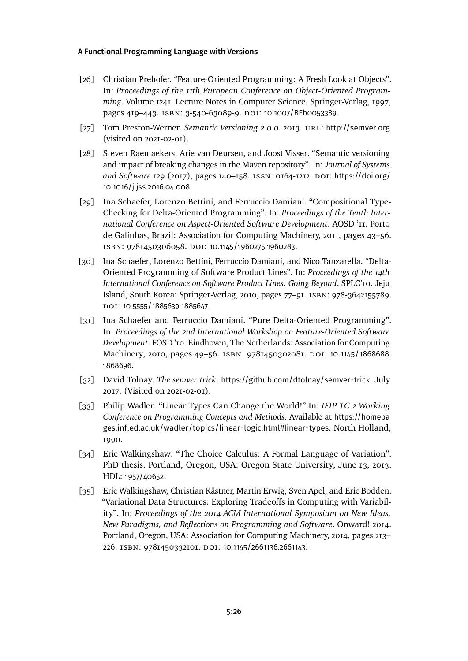- <span id="page-25-4"></span>[26] Christian Prehofer. "Feature-Oriented Programming: A Fresh Look at Objects". In: *Proceedings of the 11th European Conference on Object-Oriented Programming*. Volume 1241. Lecture Notes in Computer Science. Springer-Verlag, 1997, pages 419-443. ISBN: 3-540-63089-9. DOI: [10.1007/BFb0053389](https://doi.org/10.1007/BFb0053389).
- <span id="page-25-2"></span>[27] Tom Preston-Werner. *Semantic Versioning 2.0.0*. 2013. url: <http://semver.org> (visited on 2021-02-01).
- <span id="page-25-0"></span>[28] Steven Raemaekers, Arie van Deursen, and Joost Visser. "Semantic versioning and impact of breaking changes in the Maven repository". In: *Journal of Systems* and Software 129 (2017), pages 140-158. ISSN: 0164-1212. DOI: [https://doi.org/](https://doi.org/https://doi.org/10.1016/j.jss.2016.04.008) [10.1016/j.jss.2016.04.008](https://doi.org/https://doi.org/10.1016/j.jss.2016.04.008).
- <span id="page-25-6"></span>[29] Ina Schaefer, Lorenzo Bettini, and Ferruccio Damiani. "Compositional Type-Checking for Delta-Oriented Programming". In: *Proceedings of the Tenth International Conference on Aspect-Oriented Software Development*. AOSD '11. Porto de Galinhas, Brazil: Association for Computing Machinery, 2011, pages 43–56. isbn: 9781450306058. doi: [10.1145/1960275.1960283](https://doi.org/10.1145/1960275.1960283).
- <span id="page-25-5"></span>[30] Ina Schaefer, Lorenzo Bettini, Ferruccio Damiani, and Nico Tanzarella. "Delta-Oriented Programming of Software Product Lines". In: *Proceedings of the 14th International Conference on Software Product Lines: Going Beyond*. SPLC'10. Jeju Island, South Korea: Springer-Verlag, 2010, pages 77–91. isbn: 978-3642155789. doi: [10.5555/1885639.1885647](https://doi.org/10.5555/1885639.1885647).
- <span id="page-25-7"></span>[31] Ina Schaefer and Ferruccio Damiani. "Pure Delta-Oriented Programming". In: *Proceedings of the 2nd International Workshop on Feature-Oriented Software Development*. FOSD '10. Eindhoven, The Netherlands: Association for Computing Machinery, 2010, pages 49-56. ISBN: 9781450302081. DOI: [10.1145/1868688.](https://doi.org/10.1145/1868688.1868696) [1868696](https://doi.org/10.1145/1868688.1868696).
- <span id="page-25-3"></span>[32] David Tolnay. *The semver trick*. <https://github.com/dtolnay/semver-trick>. July 2017. (Visited on 2021-02-01).
- <span id="page-25-1"></span>[33] Philip Wadler. "Linear Types Can Change the World!" In: *IFIP TC 2 Working Conference on Programming Concepts and Methods*. Available at [https://homepa](https://homepages.inf.ed.ac.uk/wadler/topics/linear-logic.html#linear-types) [ges.inf.ed.ac.uk/wadler/topics/linear-logic.html#linear-types](https://homepages.inf.ed.ac.uk/wadler/topics/linear-logic.html#linear-types). North Holland, 1990.
- <span id="page-25-8"></span>[34] Eric Walkingshaw. "The Choice Calculus: A Formal Language of Variation". PhD thesis. Portland, Oregon, USA: Oregon State University, June 13, 2013. HDL: [1957/40652](http://hdl.handle.net/1957/40652).
- <span id="page-25-9"></span>[35] Eric Walkingshaw, Christian Kästner, Martin Erwig, Sven Apel, and Eric Bodden. "Variational Data Structures: Exploring Tradeoffs in Computing with Variability". In: *Proceedings of the 2014 ACM International Symposium on New Ideas, New Paradigms, and Reflections on Programming and Software*. Onward! 2014. Portland, Oregon, USA: Association for Computing Machinery, 2014, pages 213– 226. isbn: 9781450332101. doi: [10.1145/2661136.2661143](https://doi.org/10.1145/2661136.2661143).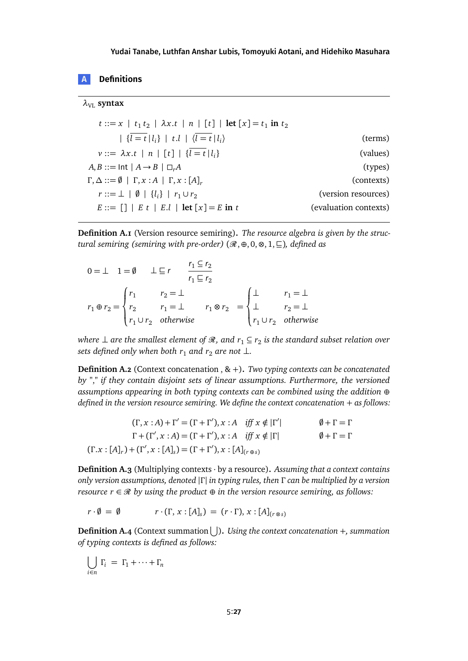# **A Denitions**

#### $\lambda_{VI}$  **syntax**

|                       | $t ::= x \mid t_1 t_2 \mid \lambda x. t \mid n \mid [t] \mid \text{let } [x] = t_1 \text{ in } t_2$ |
|-----------------------|-----------------------------------------------------------------------------------------------------|
| (terms)               | $  \{l = t \mid l_i\}   t.l   \langle l = t \mid l_i \rangle$                                       |
| (values)              | $v ::= \lambda x.t \mid n \mid [t] \mid \{l = t \mid l_i\}$                                         |
| (types)               | $A, B ::= \text{Int}   A \rightarrow B   \square_r A$                                               |
| (contexts)            | $\Gamma, \Delta ::= \emptyset \mid \Gamma, x : A \mid \Gamma, x : [A]_r$                            |
| (version resources)   | $r ::= \perp   \emptyset   \{l_i\}   r_1 \cup r_2$                                                  |
| (evaluation contexts) | $E ::= \lceil \rceil \rceil E t \rceil E.l \rceil \text{let } [x] = E \text{ in } t$                |

**Definition A.1** (Version resource semiring)**.** *The resource algebra is given by the structural semiring (semiring with pre-order)*  $(\mathcal{R}, \oplus, 0, \otimes, 1, \subseteq)$ *, defined as* 

$$
0 = \perp 1 = \emptyset \qquad \perp \sqsubseteq r \qquad \frac{r_1 \subseteq r_2}{r_1 \sqsubseteq r_2}
$$
\n
$$
r_1 \oplus r_2 = \begin{cases} r_1 & r_2 = \perp \\ r_2 & r_1 = \perp \\ r_1 \cup r_2 & \text{otherwise} \end{cases} \qquad r_1 \otimes r_2 = \begin{cases} \perp & r_1 = \perp \\ \perp & r_2 = \perp \\ r_1 \cup r_2 & \text{otherwise} \end{cases}
$$

where  $\perp$  are the smallest element of  $\mathscr R$ , and  $r_1 \subseteq r_2$  is the standard subset relation over *sets defined only when both*  $r_1$  *and*  $r_2$  *are not*  $\perp$ *.* 

**Definition A.2** (Context concatenation , & <sup>+</sup>)**.** *Two typing contexts can be concatenated by "*,*" if they contain disjoint sets of linear assumptions. Furthermore, the versioned assumptions appearing in both typing contexts can be combined using the addition* ⊕ *defined in the version resource semiring. We define the context concatenation* + *as follows:* 

$$
(\Gamma, x : A) + \Gamma' = (\Gamma + \Gamma'), x : A \quad \text{iff } x \notin |\Gamma'| \qquad \emptyset + \Gamma = \Gamma
$$
  

$$
\Gamma + (\Gamma', x : A) = (\Gamma + \Gamma'), x : A \quad \text{iff } x \notin |\Gamma| \qquad \emptyset + \Gamma = \Gamma
$$
  

$$
(\Gamma.x : [A]_r) + (\Gamma', x : [A]_s) = (\Gamma + \Gamma'), x : [A]_{(\Gamma \oplus s)}
$$

**Definition A.3** (Multiplying contexts · by a resource)**.** *Assuming that a context contains only version assumptions, denoted* |*Γ* | *in typing rules, then Γ can be multiplied by a version resource*  $r \in \mathcal{R}$  *by using the product*  $\oplus$  *in the version resource semiring, as follows:* 

 $r \cdot \emptyset = \emptyset$   $r \cdot (\Gamma, x : [A]_s) = (r \cdot \Gamma), x : [A]_{(r \otimes s)}$ 

**Definition A.4** (Context summation S )**.** *Using the context concatenation* +*, summation of typing contexts is defined as follows:*

$$
\bigcup_{i \in n} \Gamma_i = \Gamma_1 + \dots + \Gamma_n
$$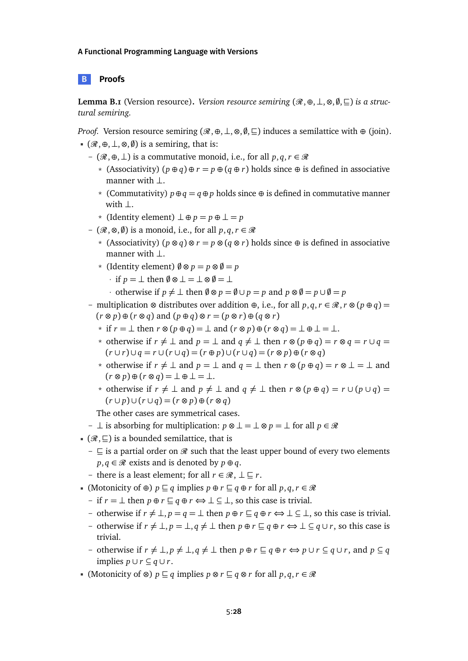## **B Proofs**

<span id="page-27-0"></span>**Lemma B.1** (Version resource). *Version resource semiring*  $(\mathcal{R}, \oplus, \perp, \otimes, \emptyset, \sqsubseteq)$  *is a structural semiring.*

*Proof.* Version resource semiring  $(\mathcal{R}, \oplus, \perp, \otimes, \emptyset, \sqsubseteq)$  induces a semilattice with  $\oplus$  (join).

- $($  $\mathcal{R}, \oplus, \perp, \otimes, \emptyset)$  is a semiring, that is:
	- ( $\mathcal{R}, \oplus, \perp$ ) is a commutative monoid, i.e., for all *p*, *q*, *r* ∈  $\mathcal{R}$ 
		- \* (Associativity) (*<sup>p</sup>* <sup>⊕</sup> *<sup>q</sup>*) <sup>⊕</sup> *<sup>r</sup>* <sup>=</sup> *<sup>p</sup>* <sup>⊕</sup> (*<sup>q</sup>* <sup>⊕</sup> *<sup>r</sup>*) holds since <sup>⊕</sup> is defined in associative manner with ⊥.
		- \* (Commutativity) *<sup>p</sup>*⊕*<sup>q</sup>* <sup>=</sup> *<sup>q</sup>*<sup>⊕</sup> *<sup>p</sup>* holds since <sup>⊕</sup> is defined in commutative manner with ⊥.
		- \* (Identity element) ⊥ ⊕ *<sup>p</sup>* <sup>=</sup> *<sup>p</sup>* ⊕ ⊥ <sup>=</sup> *<sup>p</sup>*
	- $(\mathcal{R}, \otimes, \emptyset)$  is a monoid, i.e., for all *p*, *q*, *r* ∈  $\mathcal{R}$ 
		- \* (Associativity) (*<sup>p</sup>* <sup>⊗</sup> *<sup>q</sup>*) <sup>⊗</sup> *<sup>r</sup>* <sup>=</sup> *<sup>p</sup>* <sup>⊗</sup> (*<sup>q</sup>* <sup>⊗</sup> *<sup>r</sup>*) holds since <sup>⊕</sup> is defined in associative manner with ⊥.
		- $\star$  (Identity element)  $\emptyset \otimes p = p \otimes \emptyset = p$ 
			- $\cdot$  if  $p = \perp$  then  $\emptyset \otimes \perp = \perp \otimes \emptyset = \perp$
			- · otherwise if  $p \neq \perp$  then  $\emptyset \otimes p = \emptyset \cup p = p$  and  $p \otimes \emptyset = p \cup \emptyset = p$
	- multiplication <sup>⊗</sup> distributes over addition <sup>⊕</sup>, i.e., for all *<sup>p</sup>*, *<sup>q</sup>*,*<sup>r</sup>* ∈ R,*<sup>r</sup>* <sup>⊗</sup> (*<sup>p</sup>* <sup>⊕</sup> *<sup>q</sup>*) = (*<sup>r</sup>* <sup>⊗</sup> *<sup>p</sup>*) <sup>⊕</sup> (*<sup>r</sup>* <sup>⊗</sup> *<sup>q</sup>*) and (*<sup>p</sup>* <sup>⊕</sup> *<sup>q</sup>*) <sup>⊗</sup> *<sup>r</sup>* = (*<sup>p</sup>* <sup>⊗</sup> *<sup>r</sup>*) <sup>⊕</sup> (*<sup>q</sup>* <sup>⊗</sup> *<sup>r</sup>*)
		- \* if *<sup>r</sup>* <sup>=</sup> <sup>⊥</sup> then *<sup>r</sup>* <sup>⊗</sup> (*<sup>p</sup>* <sup>⊕</sup> *<sup>q</sup>*) = <sup>⊥</sup> and (*<sup>r</sup>* <sup>⊗</sup> *<sup>p</sup>*) <sup>⊕</sup> (*<sup>r</sup>* <sup>⊗</sup> *<sup>q</sup>*) = ⊥ ⊕ ⊥ <sup>=</sup> <sup>⊥</sup>.
		- \* otherwise if  $r \neq \perp$  and  $p = \perp$  and  $q \neq \perp$  then  $r \otimes (p \oplus q) = r \otimes q = r \cup q = q$ (*r* ∪ *r*) ∪ *q* = *r* ∪ (*r* ∪ *q*) = (*r* ⊕ *p*) ∪ (*r* ∪ *q*) = (*r* ⊗ *p*) ⊕ (*r* ⊗ *q*)
		- \* otherwise if  $r \neq \perp$  and  $p = \perp$  and  $q = \perp$  then  $r \otimes (p \oplus q) = r \otimes \perp = \perp$  and  $(r \otimes p) \oplus (r \otimes q) = \perp \oplus \perp = \perp.$
		- \* otherwise if  $r \neq \perp$  and  $p \neq \perp$  and  $q \neq \perp$  then  $r \otimes (p \oplus q) = r \cup (p \cup q) =$ (*r* ∪ *p*) ∪ (*r* ∪ *q*) = (*r* ⊗ *p*) ⊕ (*r* ⊗ *q*)

The other cases are symmetrical cases.

- ⊥ is absorbing for multiplication:  $p \otimes \bot = \bot \otimes p = \bot$  for all  $p \in \mathcal{R}$
- $(\mathcal{R}, \subseteq)$  is a bounded semilattice, that is
	- $\subseteq$  is a partial order on  $\mathcal R$  such that the least upper bound of every two elements  $p, q \in \mathcal{R}$  exists and is denoted by  $p \oplus q$ .
	- there is a least element; for all *r* ∈  $\mathcal{R}$ , ⊥ ⊑ *r*.
- (Motonicity of  $\oplus$ )  $p \sqsubseteq q$  implies  $p \oplus r \sqsubseteq q \oplus r$  for all  $p, q, r \in \mathcal{R}$ 
	- if *r* = ⊥ then  $p \oplus r \subseteq q \oplus r \Longleftrightarrow \bot \subseteq \bot$ , so this case is trivial.
	- otherwise if  $r \neq \bot$ ,  $p = q = \bot$  then  $p \oplus r \sqsubseteq q \oplus r \Leftrightarrow \bot \subseteq \bot$ , so this case is trivial.
	- otherwise if  $r \neq \bot$ ,  $p = \bot$ ,  $q \neq \bot$  then  $p \oplus r \sqsubseteq q \oplus r \Leftrightarrow \bot \subseteq q \cup r$ , so this case is trivial.
	- otherwise if  $r \neq \bot$ ,  $p \neq \bot$ ,  $q \neq \bot$  then  $p \oplus r \sqsubseteq q \oplus r \Leftrightarrow p \cup r \subseteq q \cup r$ , and  $p \subseteq q$ implies  $p \cup r \subseteq q \cup r$ .
- (Motonicity of ⊗)  $p \subseteq q$  implies  $p \otimes r \subseteq q \otimes r$  for all  $p, q, r \in \mathcal{R}$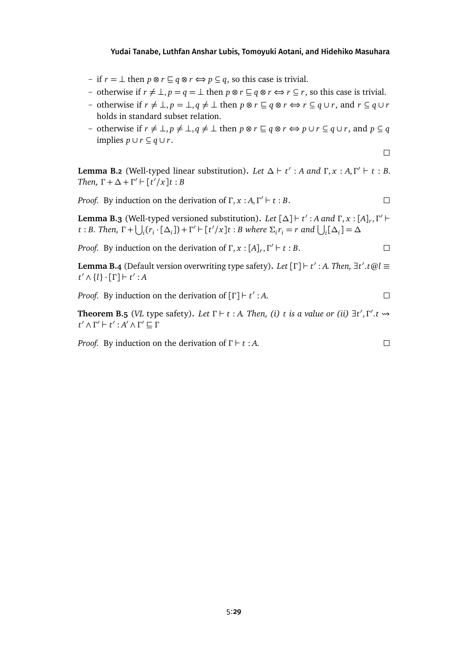- if *r* = ⊥ then *p* ⊗ *r* ⊆ *q* ⊗ *r* ⇔ *p* ⊆ *q*, so this case is trivial.
- otherwise if  $r \neq \bot$ ,  $p = q = \bot$  then  $p \otimes r \sqsubseteq q \otimes r \Leftrightarrow r \subseteq r$ , so this case is trivial.
- otherwise if  $r \neq \bot$ ,  $p = \bot$ ,  $q \neq \bot$  then  $p \otimes r \sqsubseteq q \otimes r \Leftrightarrow r \subseteq q \cup r$ , and  $r \subseteq q \cup r$ holds in standard subset relation.
- otherwise if  $r \neq \bot$ ,  $p \neq \bot$ ,  $q \neq \bot$  then  $p \otimes r \sqsubseteq q \otimes r \Leftrightarrow p \cup r \subseteq q \cup r$ , and  $p \subseteq q$ implies *p* ∪ *r* ⊆ *q* ∪ *r*.

 $\Box$ 

 $\Box$ 

**Lemma B.2** (Well-typed linear substitution). Let  $\Delta \vdash t' : A$  and  $\Gamma, x : A, \Gamma' \vdash t : B$ . *Then,*  $\Gamma + \Delta + \Gamma' \vdash [t'/x]t : B$ 

*Proof.* By induction on the derivation of  $\Gamma$ ,  $x : A, \Gamma' \vdash t : B$ .  $\Box$ 

**Lemma B.3** (Well-typed versioned substitution). Let  $[\Delta] \vdash t' : A$  and  $\Gamma, x : [A]_r, \Gamma' \vdash$ t : B. Then,  $\Gamma$  +  $\bigcup_i (r_i \cdot [\Delta_i])$  +  $\Gamma'$  +  $[t'/x]$ t : B where  $\Sigma_i r_i = r$  and  $\bigcup_i [\Delta_i] = \Delta$ 

*Proof.* By induction on the derivation of  $\Gamma$ ,  $x$  :  $[A]_r$ ,  $\Gamma' \vdash t : B$ .  $\Box$ 

**Lemma B.4** (Default version overwriting type safety). *Let* [Γ]  $\vdash t' : A$ *. Then,* ∃*t'.t* @*l* ≡ *t*<sup>'</sup> ∧ {*l*} · [*Γ*] *+ t*<sup>'</sup> : *A* 

*Proof.* By induction on the derivation of  $[\Gamma] \vdash t' : A$ .  $\Box$ 

**Theorem B.5** (*VL* type safety). Let  $\Gamma \vdash t : A$ *. Then, (i) t* is a value or (ii)  $\exists t', \Gamma'.t \rightarrow$ *t*<sup>'</sup> ∧ *Γ*<sup>'</sup> *+ t*' : *A*<sup>'</sup> ∧ *Γ*<sup>'</sup> ⊆ *Γ* 

*Proof.* By induction on the derivation of  $\Gamma \vdash t : A$ .